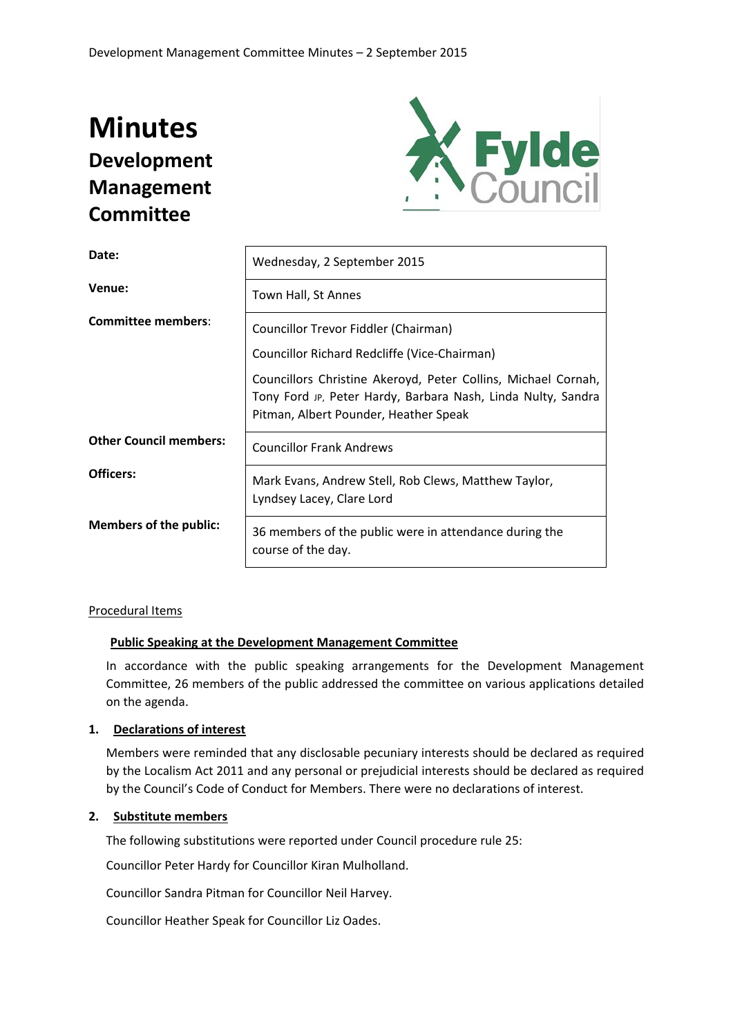# **Minutes Development Management Committee**



| Date:                         | Wednesday, 2 September 2015                                                                                                                                            |  |  |
|-------------------------------|------------------------------------------------------------------------------------------------------------------------------------------------------------------------|--|--|
| Venue:                        | Town Hall, St Annes                                                                                                                                                    |  |  |
| <b>Committee members:</b>     | Councillor Trevor Fiddler (Chairman)                                                                                                                                   |  |  |
|                               | Councillor Richard Redcliffe (Vice-Chairman)                                                                                                                           |  |  |
|                               | Councillors Christine Akeroyd, Peter Collins, Michael Cornah,<br>Tony Ford JP, Peter Hardy, Barbara Nash, Linda Nulty, Sandra<br>Pitman, Albert Pounder, Heather Speak |  |  |
| <b>Other Council members:</b> | <b>Councillor Frank Andrews</b>                                                                                                                                        |  |  |
| Officers:                     | Mark Evans, Andrew Stell, Rob Clews, Matthew Taylor,<br>Lyndsey Lacey, Clare Lord                                                                                      |  |  |
| <b>Members of the public:</b> | 36 members of the public were in attendance during the<br>course of the day.                                                                                           |  |  |

# Procedural Items

# **Public Speaking at the Development Management Committee**

In accordance with the public speaking arrangements for the Development Management Committee, 26 members of the public addressed the committee on various applications detailed on the agenda.

# **1. Declarations of interest**

Members were reminded that any disclosable pecuniary interests should be declared as required by the Localism Act 2011 and any personal or prejudicial interests should be declared as required by the Council's Code of Conduct for Members. There were no declarations of interest.

# **2. Substitute members**

The following substitutions were reported under Council procedure rule 25:

Councillor Peter Hardy for Councillor Kiran Mulholland.

Councillor Sandra Pitman for Councillor Neil Harvey.

Councillor Heather Speak for Councillor Liz Oades.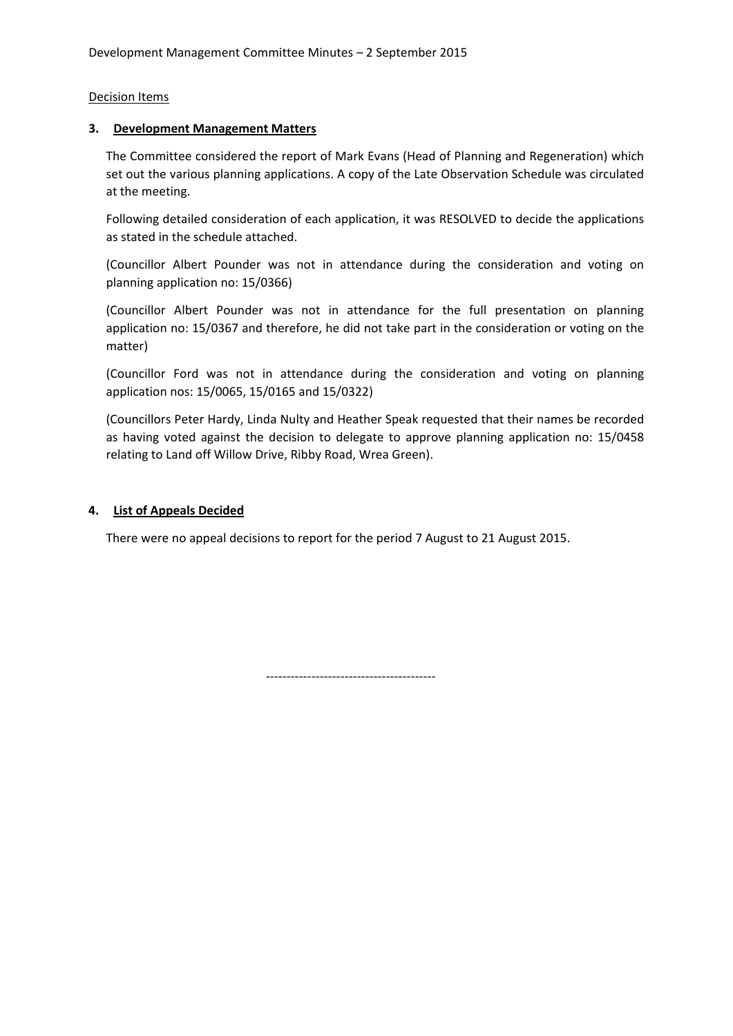# Decision Items

#### **3. Development Management Matters**

The Committee considered the report of Mark Evans (Head of Planning and Regeneration) which set out the various planning applications. A copy of the Late Observation Schedule was circulated at the meeting.

Following detailed consideration of each application, it was RESOLVED to decide the applications as stated in the schedule attached.

(Councillor Albert Pounder was not in attendance during the consideration and voting on planning application no: 15/0366)

(Councillor Albert Pounder was not in attendance for the full presentation on planning application no: 15/0367 and therefore, he did not take part in the consideration or voting on the matter)

(Councillor Ford was not in attendance during the consideration and voting on planning application nos: 15/0065, 15/0165 and 15/0322)

(Councillors Peter Hardy, Linda Nulty and Heather Speak requested that their names be recorded as having voted against the decision to delegate to approve planning application no: 15/0458 relating to Land off Willow Drive, Ribby Road, Wrea Green).

#### **4. List of Appeals Decided**

There were no appeal decisions to report for the period 7 August to 21 August 2015.

-----------------------------------------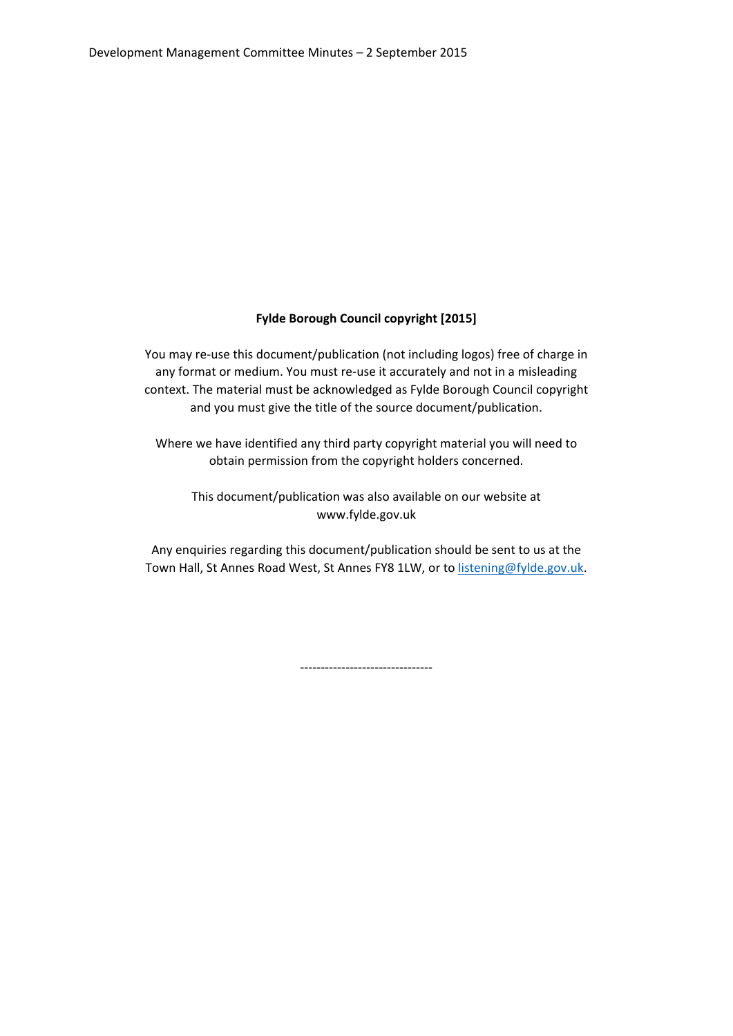# **Fylde Borough Council copyright [2015]**

You may re-use this document/publication (not including logos) free of charge in any format or medium. You must re-use it accurately and not in a misleading context. The material must be acknowledged as Fylde Borough Council copyright and you must give the title of the source document/publication.

Where we have identified any third party copyright material you will need to obtain permission from the copyright holders concerned.

This document/publication was also available on our website at www.fylde.gov.uk

Any enquiries regarding this document/publication should be sent to us at the Town Hall, St Annes Road West, St Annes FY8 1LW, or to [listening@fylde.gov.uk.](mailto:listening@fylde.gov.uk)

--------------------------------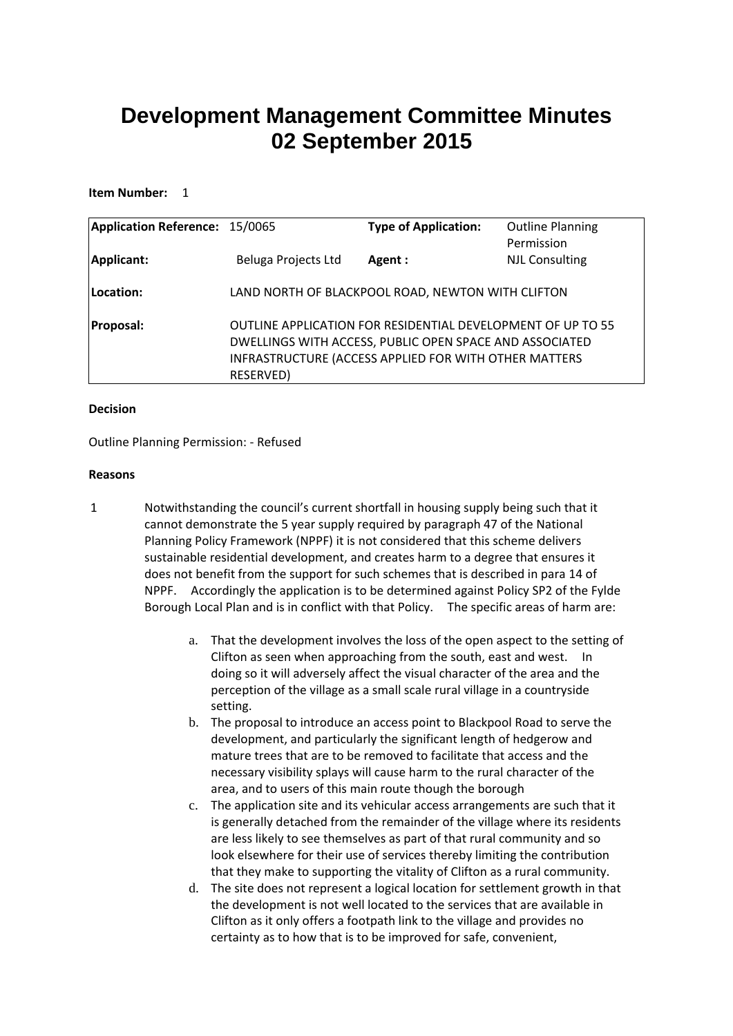# **Development Management Committee Minutes 02 September 2015**

#### **Item Number:** 1

| <b>Application Reference: 15/0065</b> |                     | <b>Type of Application:</b>                                                                                                                                                     | <b>Outline Planning</b><br>Permission |
|---------------------------------------|---------------------|---------------------------------------------------------------------------------------------------------------------------------------------------------------------------------|---------------------------------------|
| Applicant:                            | Beluga Projects Ltd | Agent :                                                                                                                                                                         | <b>NJL Consulting</b>                 |
| Location:                             |                     | LAND NORTH OF BLACKPOOL ROAD, NEWTON WITH CLIFTON                                                                                                                               |                                       |
| <b>Proposal:</b>                      | RESERVED)           | OUTLINE APPLICATION FOR RESIDENTIAL DEVELOPMENT OF UP TO 55<br>DWELLINGS WITH ACCESS, PUBLIC OPEN SPACE AND ASSOCIATED<br>INFRASTRUCTURE (ACCESS APPLIED FOR WITH OTHER MATTERS |                                       |

#### **Decision**

Outline Planning Permission: - Refused

#### **Reasons**

- 1 Notwithstanding the council's current shortfall in housing supply being such that it cannot demonstrate the 5 year supply required by paragraph 47 of the National Planning Policy Framework (NPPF) it is not considered that this scheme delivers sustainable residential development, and creates harm to a degree that ensures it does not benefit from the support for such schemes that is described in para 14 of NPPF. Accordingly the application is to be determined against Policy SP2 of the Fylde Borough Local Plan and is in conflict with that Policy. The specific areas of harm are:
	- a. That the development involves the loss of the open aspect to the setting of Clifton as seen when approaching from the south, east and west. In doing so it will adversely affect the visual character of the area and the perception of the village as a small scale rural village in a countryside setting.
	- b. The proposal to introduce an access point to Blackpool Road to serve the development, and particularly the significant length of hedgerow and mature trees that are to be removed to facilitate that access and the necessary visibility splays will cause harm to the rural character of the area, and to users of this main route though the borough
	- c. The application site and its vehicular access arrangements are such that it is generally detached from the remainder of the village where its residents are less likely to see themselves as part of that rural community and so look elsewhere for their use of services thereby limiting the contribution that they make to supporting the vitality of Clifton as a rural community.
	- d. The site does not represent a logical location for settlement growth in that the development is not well located to the services that are available in Clifton as it only offers a footpath link to the village and provides no certainty as to how that is to be improved for safe, convenient,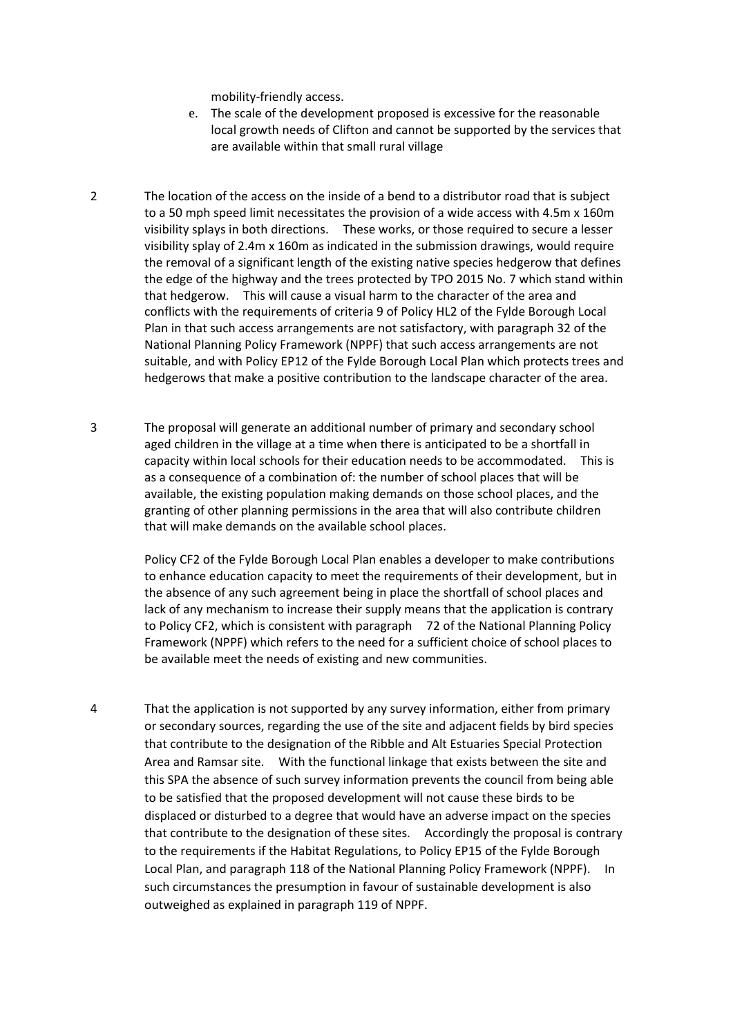mobility-friendly access.

- e. The scale of the development proposed is excessive for the reasonable local growth needs of Clifton and cannot be supported by the services that are available within that small rural village
- 2 The location of the access on the inside of a bend to a distributor road that is subject to a 50 mph speed limit necessitates the provision of a wide access with 4.5m x 160m visibility splays in both directions. These works, or those required to secure a lesser visibility splay of 2.4m x 160m as indicated in the submission drawings, would require the removal of a significant length of the existing native species hedgerow that defines the edge of the highway and the trees protected by TPO 2015 No. 7 which stand within that hedgerow. This will cause a visual harm to the character of the area and conflicts with the requirements of criteria 9 of Policy HL2 of the Fylde Borough Local Plan in that such access arrangements are not satisfactory, with paragraph 32 of the National Planning Policy Framework (NPPF) that such access arrangements are not suitable, and with Policy EP12 of the Fylde Borough Local Plan which protects trees and hedgerows that make a positive contribution to the landscape character of the area.
- 3 The proposal will generate an additional number of primary and secondary school aged children in the village at a time when there is anticipated to be a shortfall in capacity within local schools for their education needs to be accommodated. This is as a consequence of a combination of: the number of school places that will be available, the existing population making demands on those school places, and the granting of other planning permissions in the area that will also contribute children that will make demands on the available school places.

Policy CF2 of the Fylde Borough Local Plan enables a developer to make contributions to enhance education capacity to meet the requirements of their development, but in the absence of any such agreement being in place the shortfall of school places and lack of any mechanism to increase their supply means that the application is contrary to Policy CF2, which is consistent with paragraph 72 of the National Planning Policy Framework (NPPF) which refers to the need for a sufficient choice of school places to be available meet the needs of existing and new communities.

4 That the application is not supported by any survey information, either from primary or secondary sources, regarding the use of the site and adjacent fields by bird species that contribute to the designation of the Ribble and Alt Estuaries Special Protection Area and Ramsar site. With the functional linkage that exists between the site and this SPA the absence of such survey information prevents the council from being able to be satisfied that the proposed development will not cause these birds to be displaced or disturbed to a degree that would have an adverse impact on the species that contribute to the designation of these sites. Accordingly the proposal is contrary to the requirements if the Habitat Regulations, to Policy EP15 of the Fylde Borough Local Plan, and paragraph 118 of the National Planning Policy Framework (NPPF). In such circumstances the presumption in favour of sustainable development is also outweighed as explained in paragraph 119 of NPPF.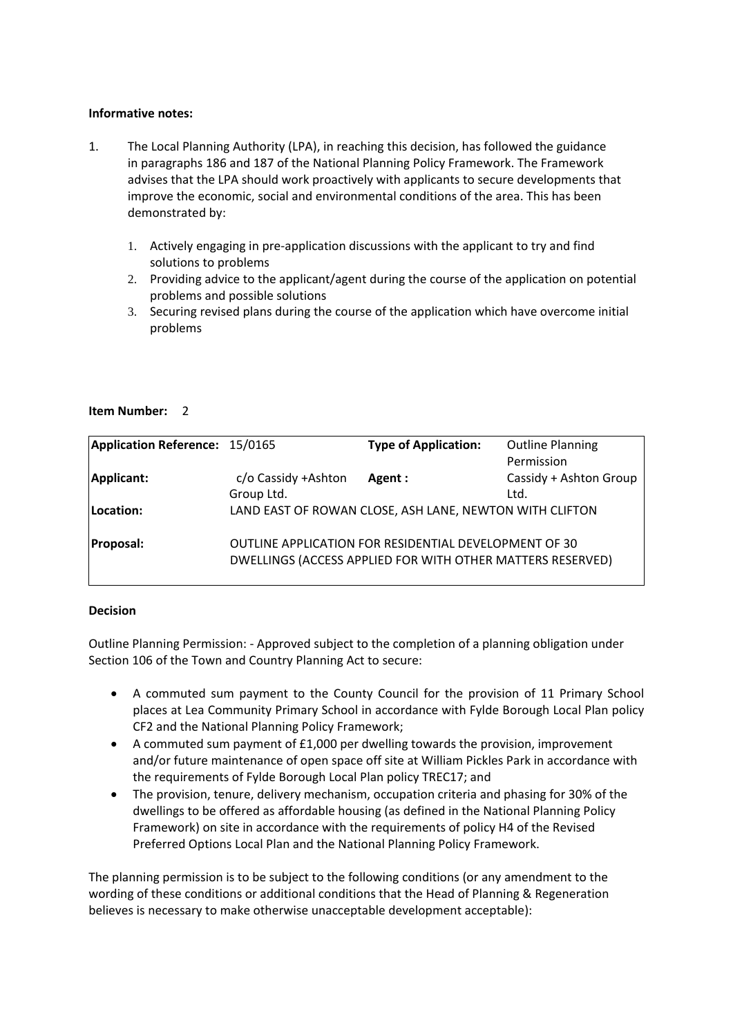# **Informative notes:**

- 1. The Local Planning Authority (LPA), in reaching this decision, has followed the guidance in paragraphs 186 and 187 of the National Planning Policy Framework. The Framework advises that the LPA should work proactively with applicants to secure developments that improve the economic, social and environmental conditions of the area. This has been demonstrated by:
	- 1. Actively engaging in pre-application discussions with the applicant to try and find solutions to problems
	- 2. Providing advice to the applicant/agent during the course of the application on potential problems and possible solutions
	- 3. Securing revised plans during the course of the application which have overcome initial problems

#### **Item Number:** 2

| Application Reference: 15/0165 |                     | <b>Type of Application:</b>                                | <b>Outline Planning</b> |
|--------------------------------|---------------------|------------------------------------------------------------|-------------------------|
|                                |                     |                                                            | Permission              |
| Applicant:                     | c/o Cassidy +Ashton | Agent :                                                    | Cassidy + Ashton Group  |
|                                | Group Ltd.          |                                                            | Ltd.                    |
| Location:                      |                     | LAND EAST OF ROWAN CLOSE, ASH LANE, NEWTON WITH CLIFTON    |                         |
|                                |                     |                                                            |                         |
| <b>Proposal:</b>               |                     | OUTLINE APPLICATION FOR RESIDENTIAL DEVELOPMENT OF 30      |                         |
|                                |                     | DWELLINGS (ACCESS APPLIED FOR WITH OTHER MATTERS RESERVED) |                         |

#### **Decision**

Outline Planning Permission: - Approved subject to the completion of a planning obligation under Section 106 of the Town and Country Planning Act to secure:

- A commuted sum payment to the County Council for the provision of 11 Primary School places at Lea Community Primary School in accordance with Fylde Borough Local Plan policy CF2 and the National Planning Policy Framework;
- A commuted sum payment of £1,000 per dwelling towards the provision, improvement and/or future maintenance of open space off site at William Pickles Park in accordance with the requirements of Fylde Borough Local Plan policy TREC17; and
- The provision, tenure, delivery mechanism, occupation criteria and phasing for 30% of the dwellings to be offered as affordable housing (as defined in the National Planning Policy Framework) on site in accordance with the requirements of policy H4 of the Revised Preferred Options Local Plan and the National Planning Policy Framework.

The planning permission is to be subject to the following conditions (or any amendment to the wording of these conditions or additional conditions that the Head of Planning & Regeneration believes is necessary to make otherwise unacceptable development acceptable):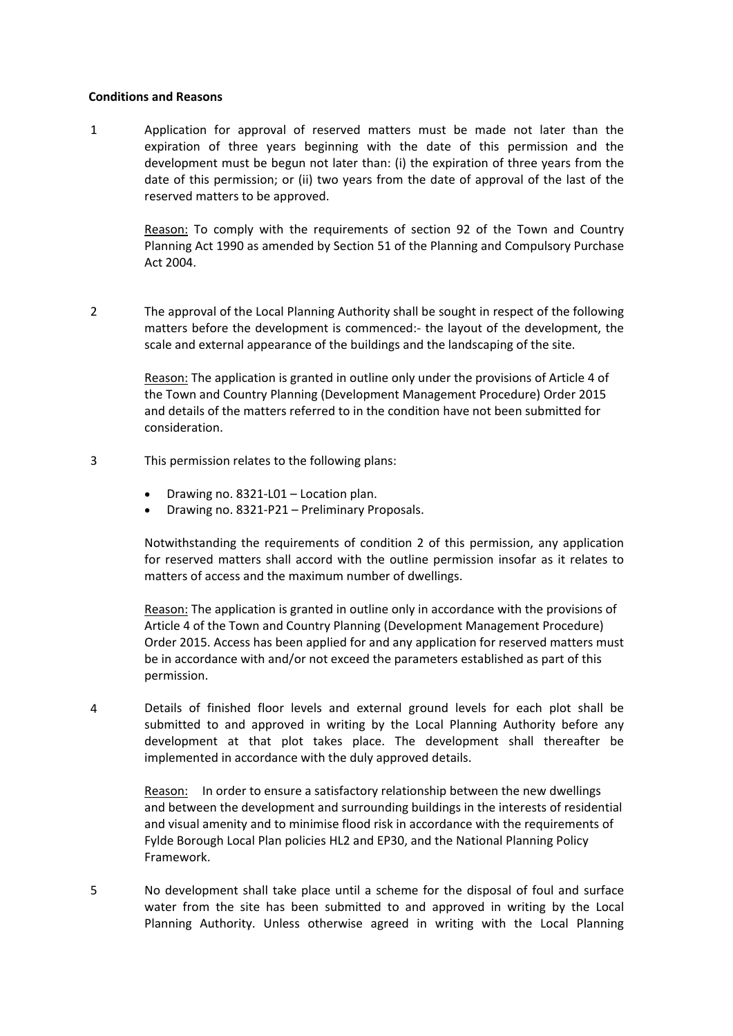#### **Conditions and Reasons**

1 Application for approval of reserved matters must be made not later than the expiration of three years beginning with the date of this permission and the development must be begun not later than: (i) the expiration of three years from the date of this permission; or (ii) two years from the date of approval of the last of the reserved matters to be approved.

> Reason: To comply with the requirements of section 92 of the Town and Country Planning Act 1990 as amended by Section 51 of the Planning and Compulsory Purchase Act 2004.

2 The approval of the Local Planning Authority shall be sought in respect of the following matters before the development is commenced:- the layout of the development, the scale and external appearance of the buildings and the landscaping of the site.

> Reason: The application is granted in outline only under the provisions of Article 4 of the Town and Country Planning (Development Management Procedure) Order 2015 and details of the matters referred to in the condition have not been submitted for consideration.

- 3 This permission relates to the following plans:
	- Drawing no. 8321-L01 Location plan.
	- Drawing no. 8321-P21 Preliminary Proposals.

Notwithstanding the requirements of condition 2 of this permission, any application for reserved matters shall accord with the outline permission insofar as it relates to matters of access and the maximum number of dwellings.

Reason: The application is granted in outline only in accordance with the provisions of Article 4 of the Town and Country Planning (Development Management Procedure) Order 2015. Access has been applied for and any application for reserved matters must be in accordance with and/or not exceed the parameters established as part of this permission.

4 Details of finished floor levels and external ground levels for each plot shall be submitted to and approved in writing by the Local Planning Authority before any development at that plot takes place. The development shall thereafter be implemented in accordance with the duly approved details.

Reason: In order to ensure a satisfactory relationship between the new dwellings and between the development and surrounding buildings in the interests of residential and visual amenity and to minimise flood risk in accordance with the requirements of Fylde Borough Local Plan policies HL2 and EP30, and the National Planning Policy Framework.

5 No development shall take place until a scheme for the disposal of foul and surface water from the site has been submitted to and approved in writing by the Local Planning Authority. Unless otherwise agreed in writing with the Local Planning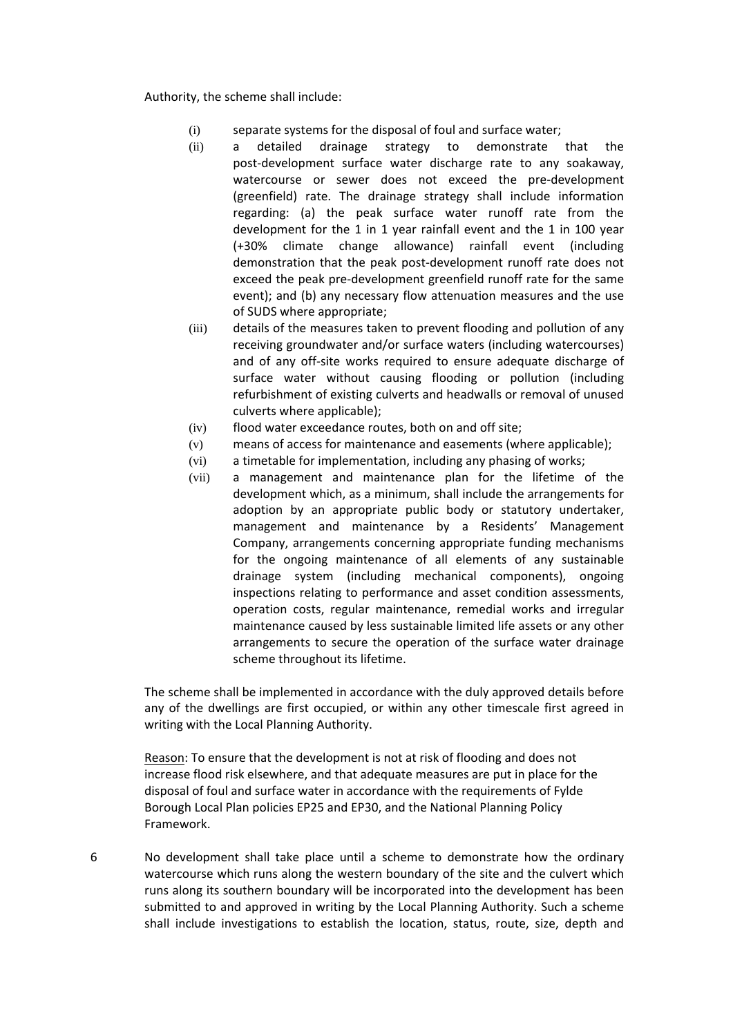Authority, the scheme shall include:

- (i) separate systems for the disposal of foul and surface water;
- (ii) a detailed drainage strategy to demonstrate that the post-development surface water discharge rate to any soakaway, watercourse or sewer does not exceed the pre-development (greenfield) rate. The drainage strategy shall include information regarding: (a) the peak surface water runoff rate from the development for the 1 in 1 year rainfall event and the 1 in 100 year (+30% climate change allowance) rainfall event (including demonstration that the peak post-development runoff rate does not exceed the peak pre-development greenfield runoff rate for the same event); and (b) any necessary flow attenuation measures and the use of SUDS where appropriate;
- (iii) details of the measures taken to prevent flooding and pollution of any receiving groundwater and/or surface waters (including watercourses) and of any off-site works required to ensure adequate discharge of surface water without causing flooding or pollution (including refurbishment of existing culverts and headwalls or removal of unused culverts where applicable);
- (iv) flood water exceedance routes, both on and off site;
- (v) means of access for maintenance and easements (where applicable);
- (vi) a timetable for implementation, including any phasing of works;
- (vii) a management and maintenance plan for the lifetime of the development which, as a minimum, shall include the arrangements for adoption by an appropriate public body or statutory undertaker, management and maintenance by a Residents' Management Company, arrangements concerning appropriate funding mechanisms for the ongoing maintenance of all elements of any sustainable drainage system (including mechanical components), ongoing inspections relating to performance and asset condition assessments, operation costs, regular maintenance, remedial works and irregular maintenance caused by less sustainable limited life assets or any other arrangements to secure the operation of the surface water drainage scheme throughout its lifetime.

The scheme shall be implemented in accordance with the duly approved details before any of the dwellings are first occupied, or within any other timescale first agreed in writing with the Local Planning Authority.

Reason: To ensure that the development is not at risk of flooding and does not increase flood risk elsewhere, and that adequate measures are put in place for the disposal of foul and surface water in accordance with the requirements of Fylde Borough Local Plan policies EP25 and EP30, and the National Planning Policy Framework.

6 No development shall take place until a scheme to demonstrate how the ordinary watercourse which runs along the western boundary of the site and the culvert which runs along its southern boundary will be incorporated into the development has been submitted to and approved in writing by the Local Planning Authority. Such a scheme shall include investigations to establish the location, status, route, size, depth and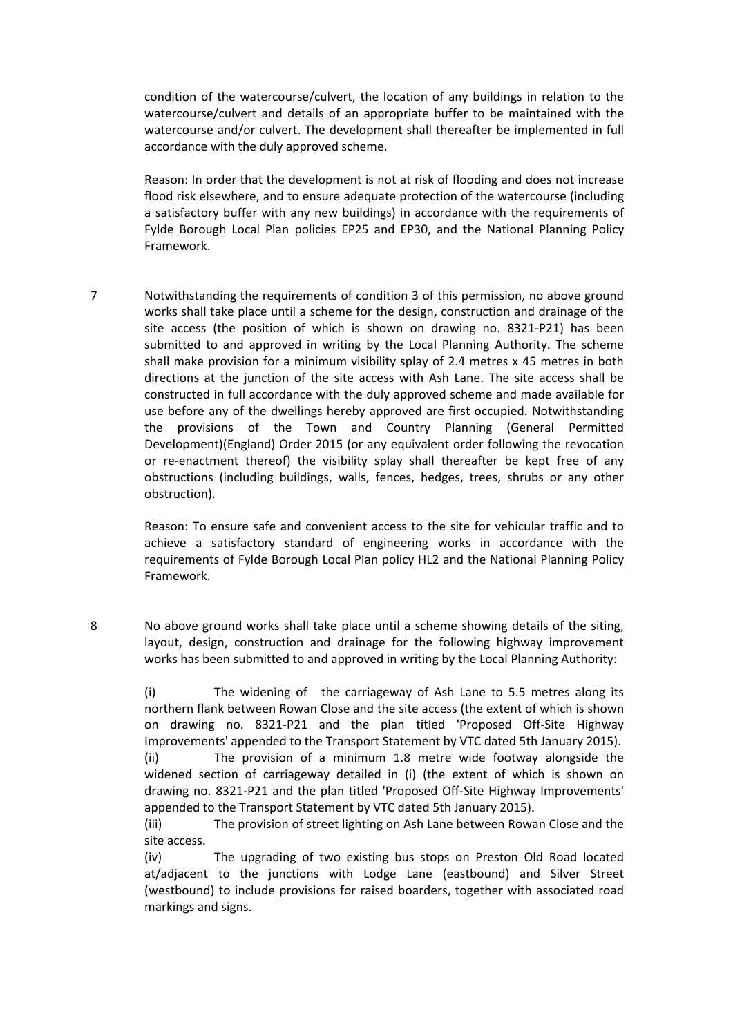condition of the watercourse/culvert, the location of any buildings in relation to the watercourse/culvert and details of an appropriate buffer to be maintained with the watercourse and/or culvert. The development shall thereafter be implemented in full accordance with the duly approved scheme.

Reason: In order that the development is not at risk of flooding and does not increase flood risk elsewhere, and to ensure adequate protection of the watercourse (including a satisfactory buffer with any new buildings) in accordance with the requirements of Fylde Borough Local Plan policies EP25 and EP30, and the National Planning Policy Framework.

7 Notwithstanding the requirements of condition 3 of this permission, no above ground works shall take place until a scheme for the design, construction and drainage of the site access (the position of which is shown on drawing no. 8321-P21) has been submitted to and approved in writing by the Local Planning Authority. The scheme shall make provision for a minimum visibility splay of 2.4 metres x 45 metres in both directions at the junction of the site access with Ash Lane. The site access shall be constructed in full accordance with the duly approved scheme and made available for use before any of the dwellings hereby approved are first occupied. Notwithstanding the provisions of the Town and Country Planning (General Permitted Development)(England) Order 2015 (or any equivalent order following the revocation or re-enactment thereof) the visibility splay shall thereafter be kept free of any obstructions (including buildings, walls, fences, hedges, trees, shrubs or any other obstruction).

Reason: To ensure safe and convenient access to the site for vehicular traffic and to achieve a satisfactory standard of engineering works in accordance with the requirements of Fylde Borough Local Plan policy HL2 and the National Planning Policy Framework.

8 No above ground works shall take place until a scheme showing details of the siting, layout, design, construction and drainage for the following highway improvement works has been submitted to and approved in writing by the Local Planning Authority:

(i) The widening of the carriageway of Ash Lane to 5.5 metres along its northern flank between Rowan Close and the site access (the extent of which is shown on drawing no. 8321-P21 and the plan titled 'Proposed Off-Site Highway Improvements' appended to the Transport Statement by VTC dated 5th January 2015). (ii) The provision of a minimum 1.8 metre wide footway alongside the widened section of carriageway detailed in (i) (the extent of which is shown on drawing no. 8321-P21 and the plan titled 'Proposed Off-Site Highway Improvements' appended to the Transport Statement by VTC dated 5th January 2015).

(iii) The provision of street lighting on Ash Lane between Rowan Close and the site access.

(iv) The upgrading of two existing bus stops on Preston Old Road located at/adjacent to the junctions with Lodge Lane (eastbound) and Silver Street (westbound) to include provisions for raised boarders, together with associated road markings and signs.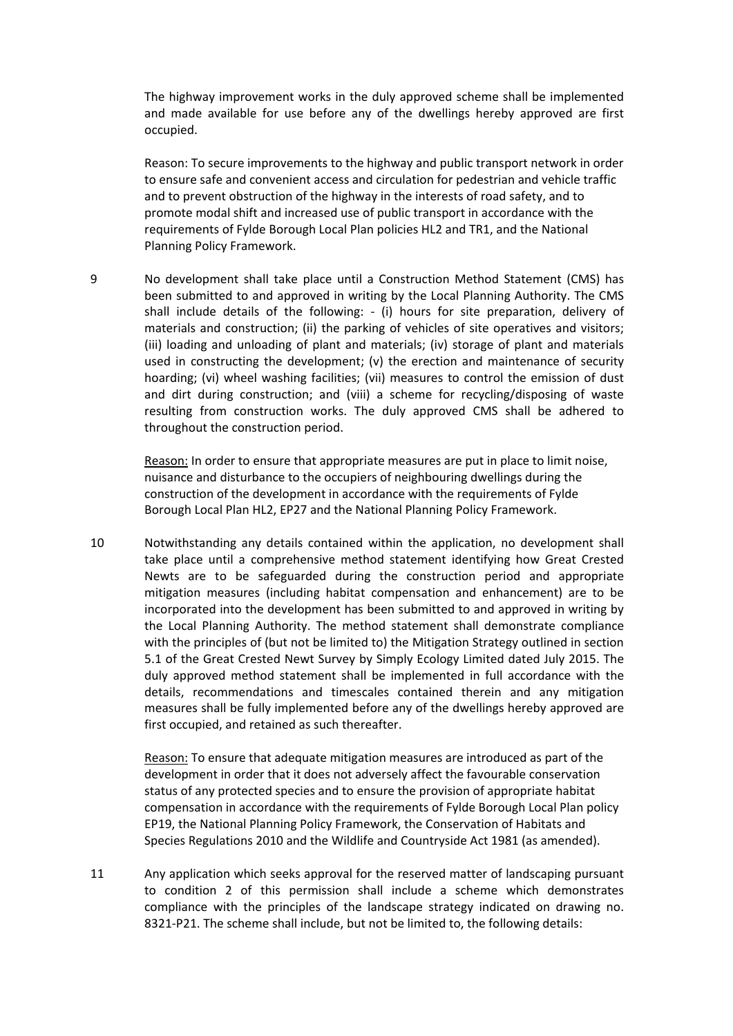The highway improvement works in the duly approved scheme shall be implemented and made available for use before any of the dwellings hereby approved are first occupied.

Reason: To secure improvements to the highway and public transport network in order to ensure safe and convenient access and circulation for pedestrian and vehicle traffic and to prevent obstruction of the highway in the interests of road safety, and to promote modal shift and increased use of public transport in accordance with the requirements of Fylde Borough Local Plan policies HL2 and TR1, and the National Planning Policy Framework.

9 No development shall take place until a Construction Method Statement (CMS) has been submitted to and approved in writing by the Local Planning Authority. The CMS shall include details of the following: - (i) hours for site preparation, delivery of materials and construction; (ii) the parking of vehicles of site operatives and visitors; (iii) loading and unloading of plant and materials; (iv) storage of plant and materials used in constructing the development; (v) the erection and maintenance of security hoarding; (vi) wheel washing facilities; (vii) measures to control the emission of dust and dirt during construction; and (viii) a scheme for recycling/disposing of waste resulting from construction works. The duly approved CMS shall be adhered to throughout the construction period.

> Reason: In order to ensure that appropriate measures are put in place to limit noise, nuisance and disturbance to the occupiers of neighbouring dwellings during the construction of the development in accordance with the requirements of Fylde Borough Local Plan HL2, EP27 and the National Planning Policy Framework.

10 Notwithstanding any details contained within the application, no development shall take place until a comprehensive method statement identifying how Great Crested Newts are to be safeguarded during the construction period and appropriate mitigation measures (including habitat compensation and enhancement) are to be incorporated into the development has been submitted to and approved in writing by the Local Planning Authority. The method statement shall demonstrate compliance with the principles of (but not be limited to) the Mitigation Strategy outlined in section 5.1 of the Great Crested Newt Survey by Simply Ecology Limited dated July 2015. The duly approved method statement shall be implemented in full accordance with the details, recommendations and timescales contained therein and any mitigation measures shall be fully implemented before any of the dwellings hereby approved are first occupied, and retained as such thereafter.

> Reason: To ensure that adequate mitigation measures are introduced as part of the development in order that it does not adversely affect the favourable conservation status of any protected species and to ensure the provision of appropriate habitat compensation in accordance with the requirements of Fylde Borough Local Plan policy EP19, the National Planning Policy Framework, the Conservation of Habitats and Species Regulations 2010 and the Wildlife and Countryside Act 1981 (as amended).

11 Any application which seeks approval for the reserved matter of landscaping pursuant to condition 2 of this permission shall include a scheme which demonstrates compliance with the principles of the landscape strategy indicated on drawing no. 8321-P21. The scheme shall include, but not be limited to, the following details: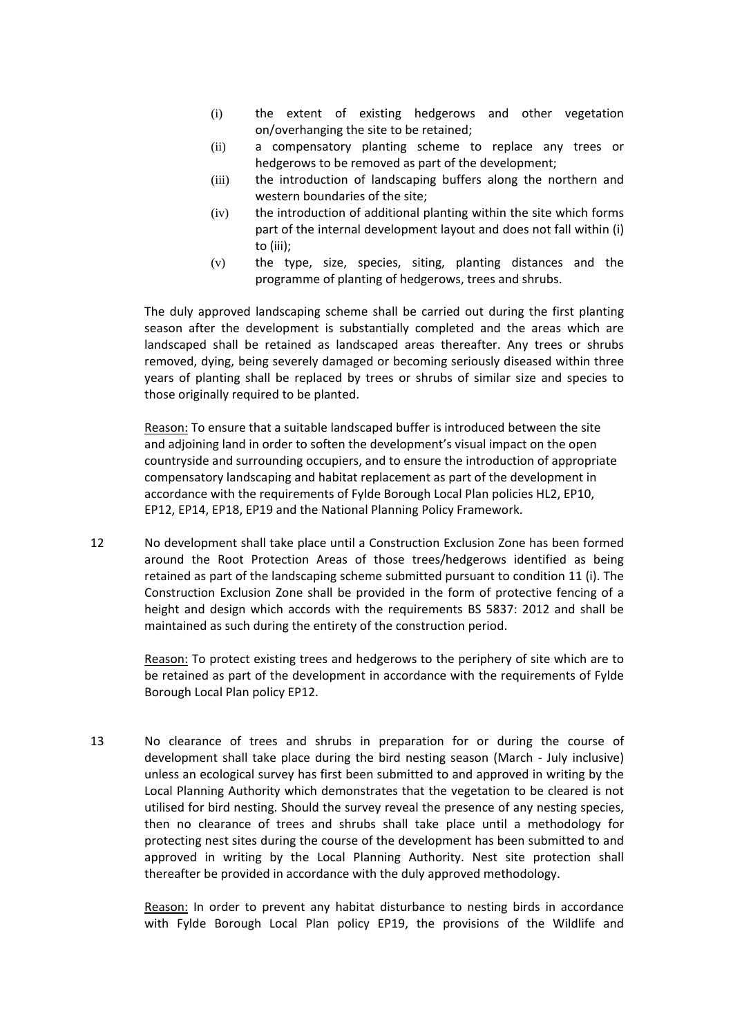- (i) the extent of existing hedgerows and other vegetation on/overhanging the site to be retained;
- (ii) a compensatory planting scheme to replace any trees or hedgerows to be removed as part of the development;
- (iii) the introduction of landscaping buffers along the northern and western boundaries of the site;
- (iv) the introduction of additional planting within the site which forms part of the internal development layout and does not fall within (i) to (iii);
- (v) the type, size, species, siting, planting distances and the programme of planting of hedgerows, trees and shrubs.

The duly approved landscaping scheme shall be carried out during the first planting season after the development is substantially completed and the areas which are landscaped shall be retained as landscaped areas thereafter. Any trees or shrubs removed, dying, being severely damaged or becoming seriously diseased within three years of planting shall be replaced by trees or shrubs of similar size and species to those originally required to be planted.

Reason: To ensure that a suitable landscaped buffer is introduced between the site and adjoining land in order to soften the development's visual impact on the open countryside and surrounding occupiers, and to ensure the introduction of appropriate compensatory landscaping and habitat replacement as part of the development in accordance with the requirements of Fylde Borough Local Plan policies HL2, EP10, EP12, EP14, EP18, EP19 and the National Planning Policy Framework.

12 No development shall take place until a Construction Exclusion Zone has been formed around the Root Protection Areas of those trees/hedgerows identified as being retained as part of the landscaping scheme submitted pursuant to condition 11 (i). The Construction Exclusion Zone shall be provided in the form of protective fencing of a height and design which accords with the requirements BS 5837: 2012 and shall be maintained as such during the entirety of the construction period.

> Reason: To protect existing trees and hedgerows to the periphery of site which are to be retained as part of the development in accordance with the requirements of Fylde Borough Local Plan policy EP12.

13 No clearance of trees and shrubs in preparation for or during the course of development shall take place during the bird nesting season (March - July inclusive) unless an ecological survey has first been submitted to and approved in writing by the Local Planning Authority which demonstrates that the vegetation to be cleared is not utilised for bird nesting. Should the survey reveal the presence of any nesting species, then no clearance of trees and shrubs shall take place until a methodology for protecting nest sites during the course of the development has been submitted to and approved in writing by the Local Planning Authority. Nest site protection shall thereafter be provided in accordance with the duly approved methodology.

> Reason: In order to prevent any habitat disturbance to nesting birds in accordance with Fylde Borough Local Plan policy EP19, the provisions of the Wildlife and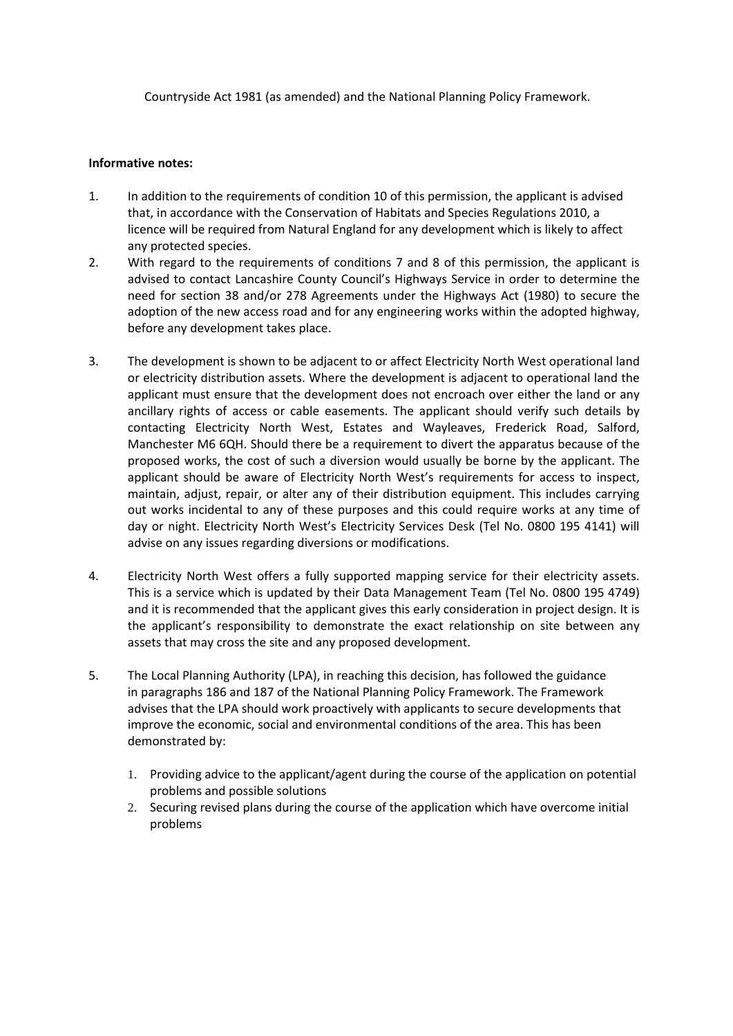Countryside Act 1981 (as amended) and the National Planning Policy Framework.

#### **Informative notes:**

- 1. In addition to the requirements of condition 10 of this permission, the applicant is advised that, in accordance with the Conservation of Habitats and Species Regulations 2010, a licence will be required from Natural England for any development which is likely to affect any protected species.
- 2. With regard to the requirements of conditions 7 and 8 of this permission, the applicant is advised to contact Lancashire County Council's Highways Service in order to determine the need for section 38 and/or 278 Agreements under the Highways Act (1980) to secure the adoption of the new access road and for any engineering works within the adopted highway, before any development takes place.
- 3. The development is shown to be adjacent to or affect Electricity North West operational land or electricity distribution assets. Where the development is adjacent to operational land the applicant must ensure that the development does not encroach over either the land or any ancillary rights of access or cable easements. The applicant should verify such details by contacting Electricity North West, Estates and Wayleaves, Frederick Road, Salford, Manchester M6 6QH. Should there be a requirement to divert the apparatus because of the proposed works, the cost of such a diversion would usually be borne by the applicant. The applicant should be aware of Electricity North West's requirements for access to inspect, maintain, adjust, repair, or alter any of their distribution equipment. This includes carrying out works incidental to any of these purposes and this could require works at any time of day or night. Electricity North West's Electricity Services Desk (Tel No. 0800 195 4141) will advise on any issues regarding diversions or modifications.
- 4. Electricity North West offers a fully supported mapping service for their electricity assets. This is a service which is updated by their Data Management Team (Tel No. 0800 195 4749) and it is recommended that the applicant gives this early consideration in project design. It is the applicant's responsibility to demonstrate the exact relationship on site between any assets that may cross the site and any proposed development.
- 5. The Local Planning Authority (LPA), in reaching this decision, has followed the guidance in paragraphs 186 and 187 of the National Planning Policy Framework. The Framework advises that the LPA should work proactively with applicants to secure developments that improve the economic, social and environmental conditions of the area. This has been demonstrated by:
	- 1. Providing advice to the applicant/agent during the course of the application on potential problems and possible solutions
	- 2. Securing revised plans during the course of the application which have overcome initial problems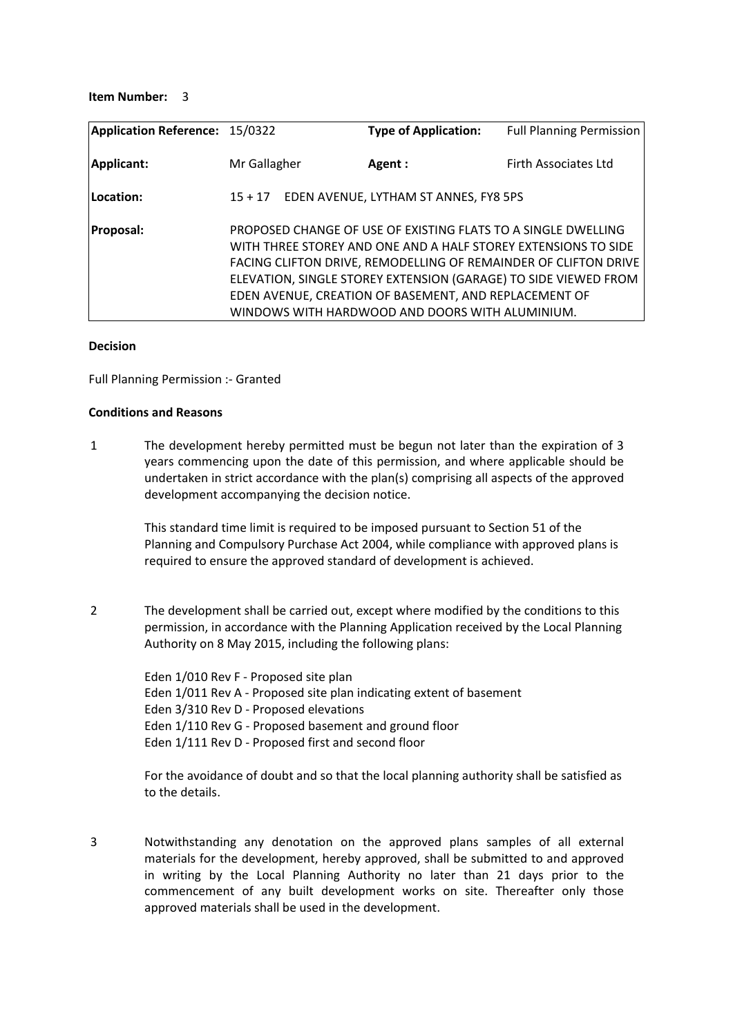#### **Item Number:** 3

| <b>Application Reference: 15/0322</b> |              | <b>Type of Application:</b>                                                                                                                                                                                                                 | <b>Full Planning Permission</b>                                                                                                    |
|---------------------------------------|--------------|---------------------------------------------------------------------------------------------------------------------------------------------------------------------------------------------------------------------------------------------|------------------------------------------------------------------------------------------------------------------------------------|
| <b>Applicant:</b>                     | Mr Gallagher | Agent :                                                                                                                                                                                                                                     | Firth Associates Ltd                                                                                                               |
| Location:                             | $15 + 17$    | EDEN AVENUE, LYTHAM ST ANNES, FY8 5PS                                                                                                                                                                                                       |                                                                                                                                    |
| <b>Proposal:</b>                      |              | PROPOSED CHANGE OF USE OF EXISTING FLATS TO A SINGLE DWELLING<br>WITH THREE STOREY AND ONE AND A HALF STOREY EXTENSIONS TO SIDE<br>EDEN AVENUE, CREATION OF BASEMENT, AND REPLACEMENT OF<br>WINDOWS WITH HARDWOOD AND DOORS WITH ALUMINIUM. | FACING CLIFTON DRIVE, REMODELLING OF REMAINDER OF CLIFTON DRIVE<br>ELEVATION, SINGLE STOREY EXTENSION (GARAGE) TO SIDE VIEWED FROM |

#### **Decision**

Full Planning Permission :- Granted

#### **Conditions and Reasons**

1 The development hereby permitted must be begun not later than the expiration of 3 years commencing upon the date of this permission, and where applicable should be undertaken in strict accordance with the plan(s) comprising all aspects of the approved development accompanying the decision notice.

This standard time limit is required to be imposed pursuant to Section 51 of the Planning and Compulsory Purchase Act 2004, while compliance with approved plans is required to ensure the approved standard of development is achieved.

2 The development shall be carried out, except where modified by the conditions to this permission, in accordance with the Planning Application received by the Local Planning Authority on 8 May 2015, including the following plans:

> Eden 1/010 Rev F - Proposed site plan Eden 1/011 Rev A - Proposed site plan indicating extent of basement Eden 3/310 Rev D - Proposed elevations Eden 1/110 Rev G - Proposed basement and ground floor Eden 1/111 Rev D - Proposed first and second floor

For the avoidance of doubt and so that the local planning authority shall be satisfied as to the details.

3 Notwithstanding any denotation on the approved plans samples of all external materials for the development, hereby approved, shall be submitted to and approved in writing by the Local Planning Authority no later than 21 days prior to the commencement of any built development works on site. Thereafter only those approved materials shall be used in the development.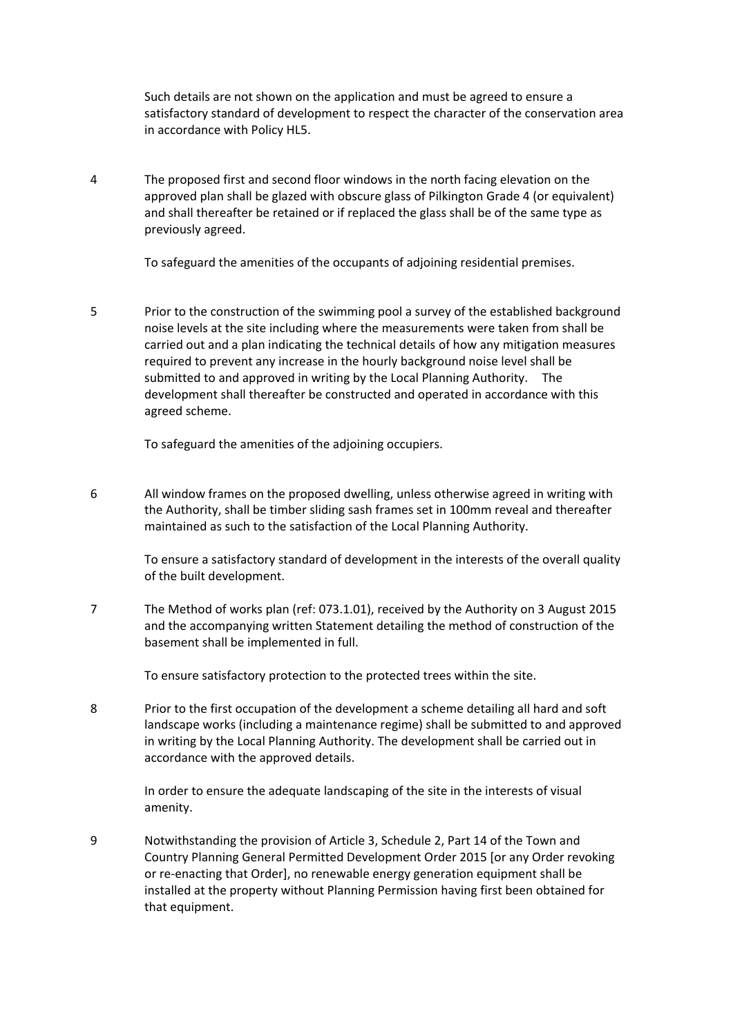Such details are not shown on the application and must be agreed to ensure a satisfactory standard of development to respect the character of the conservation area in accordance with Policy HL5.

4 The proposed first and second floor windows in the north facing elevation on the approved plan shall be glazed with obscure glass of Pilkington Grade 4 (or equivalent) and shall thereafter be retained or if replaced the glass shall be of the same type as previously agreed.

To safeguard the amenities of the occupants of adjoining residential premises.

5 Prior to the construction of the swimming pool a survey of the established background noise levels at the site including where the measurements were taken from shall be carried out and a plan indicating the technical details of how any mitigation measures required to prevent any increase in the hourly background noise level shall be submitted to and approved in writing by the Local Planning Authority. The development shall thereafter be constructed and operated in accordance with this agreed scheme.

To safeguard the amenities of the adjoining occupiers.

6 All window frames on the proposed dwelling, unless otherwise agreed in writing with the Authority, shall be timber sliding sash frames set in 100mm reveal and thereafter maintained as such to the satisfaction of the Local Planning Authority.

> To ensure a satisfactory standard of development in the interests of the overall quality of the built development.

7 The Method of works plan (ref: 073.1.01), received by the Authority on 3 August 2015 and the accompanying written Statement detailing the method of construction of the basement shall be implemented in full.

To ensure satisfactory protection to the protected trees within the site.

8 Prior to the first occupation of the development a scheme detailing all hard and soft landscape works (including a maintenance regime) shall be submitted to and approved in writing by the Local Planning Authority. The development shall be carried out in accordance with the approved details.

In order to ensure the adequate landscaping of the site in the interests of visual amenity.

9 Notwithstanding the provision of Article 3, Schedule 2, Part 14 of the Town and Country Planning General Permitted Development Order 2015 [or any Order revoking or re-enacting that Order], no renewable energy generation equipment shall be installed at the property without Planning Permission having first been obtained for that equipment.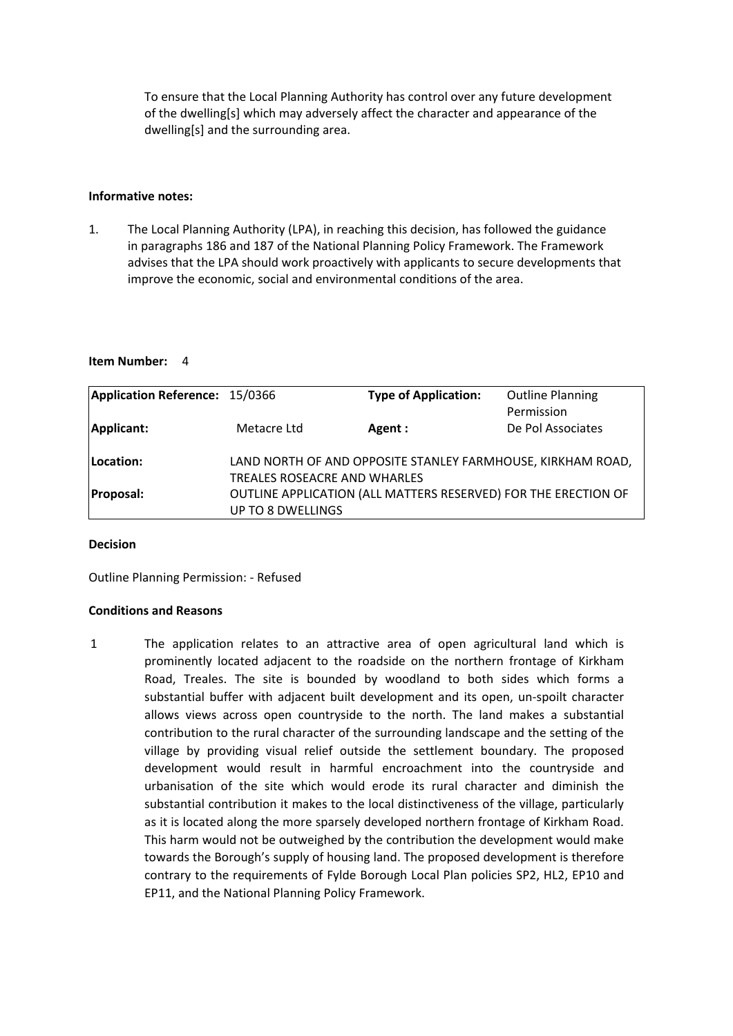To ensure that the Local Planning Authority has control over any future development of the dwelling[s] which may adversely affect the character and appearance of the dwelling[s] and the surrounding area.

#### **Informative notes:**

1. The Local Planning Authority (LPA), in reaching this decision, has followed the guidance in paragraphs 186 and 187 of the National Planning Policy Framework. The Framework advises that the LPA should work proactively with applicants to secure developments that improve the economic, social and environmental conditions of the area.

#### **Item Number:** 4

| Application Reference: 15/0366 |                                                             | <b>Type of Application:</b>                                    | <b>Outline Planning</b> |
|--------------------------------|-------------------------------------------------------------|----------------------------------------------------------------|-------------------------|
|                                |                                                             |                                                                | Permission              |
| Applicant:                     | Metacre Ltd                                                 | Agent :                                                        | De Pol Associates       |
|                                |                                                             |                                                                |                         |
| Location:                      | LAND NORTH OF AND OPPOSITE STANLEY FARMHOUSE, KIRKHAM ROAD, |                                                                |                         |
|                                | TREALES ROSEACRE AND WHARLES                                |                                                                |                         |
| <b>Proposal:</b>               |                                                             | OUTLINE APPLICATION (ALL MATTERS RESERVED) FOR THE ERECTION OF |                         |
|                                | <b>UP TO 8 DWELLINGS</b>                                    |                                                                |                         |

#### **Decision**

Outline Planning Permission: - Refused

#### **Conditions and Reasons**

1 The application relates to an attractive area of open agricultural land which is prominently located adjacent to the roadside on the northern frontage of Kirkham Road, Treales. The site is bounded by woodland to both sides which forms a substantial buffer with adjacent built development and its open, un-spoilt character allows views across open countryside to the north. The land makes a substantial contribution to the rural character of the surrounding landscape and the setting of the village by providing visual relief outside the settlement boundary. The proposed development would result in harmful encroachment into the countryside and urbanisation of the site which would erode its rural character and diminish the substantial contribution it makes to the local distinctiveness of the village, particularly as it is located along the more sparsely developed northern frontage of Kirkham Road. This harm would not be outweighed by the contribution the development would make towards the Borough's supply of housing land. The proposed development is therefore contrary to the requirements of Fylde Borough Local Plan policies SP2, HL2, EP10 and EP11, and the National Planning Policy Framework.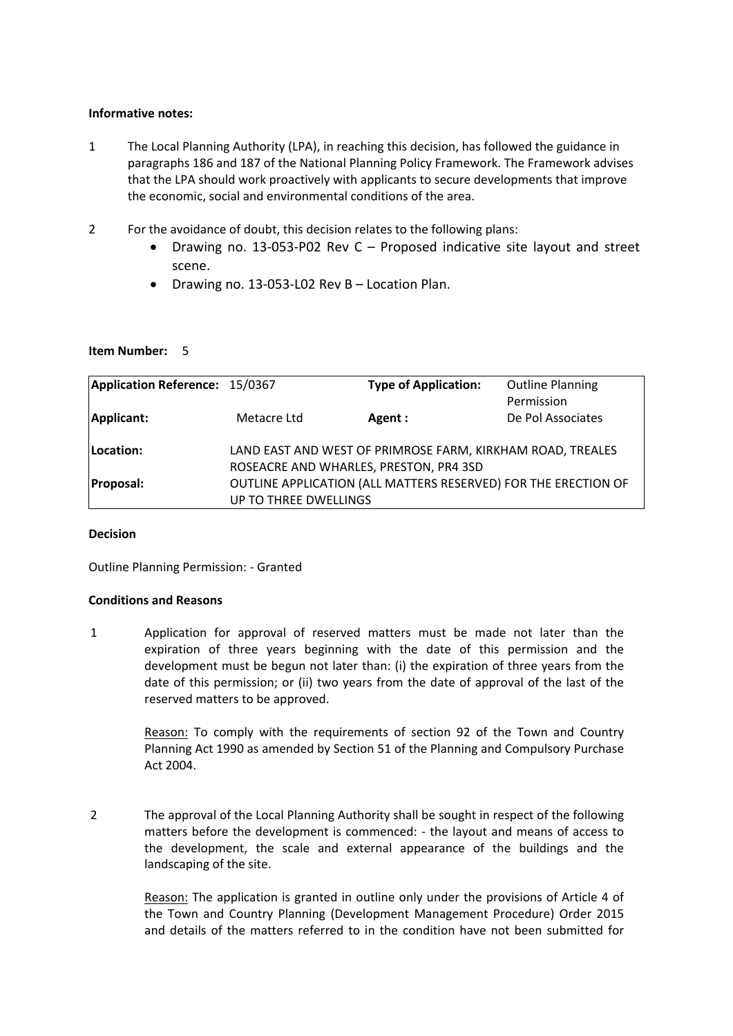#### **Informative notes:**

- 1 The Local Planning Authority (LPA), in reaching this decision, has followed the guidance in paragraphs 186 and 187 of the National Planning Policy Framework. The Framework advises that the LPA should work proactively with applicants to secure developments that improve the economic, social and environmental conditions of the area.
- 2 For the avoidance of doubt, this decision relates to the following plans:
	- Drawing no. 13-053-P02 Rev C Proposed indicative site layout and street scene.
	- Drawing no. 13-053-L02 Rev B Location Plan.

#### **Item Number:** 5

| Application Reference: 15/0367 |                                                            | <b>Type of Application:</b>                                    | <b>Outline Planning</b> |
|--------------------------------|------------------------------------------------------------|----------------------------------------------------------------|-------------------------|
|                                |                                                            |                                                                | Permission              |
| Applicant:                     | Metacre Ltd                                                | Agent :                                                        | De Pol Associates       |
|                                |                                                            |                                                                |                         |
| Location:                      | LAND EAST AND WEST OF PRIMROSE FARM, KIRKHAM ROAD, TREALES |                                                                |                         |
|                                | ROSEACRE AND WHARLES, PRESTON, PR4 3SD                     |                                                                |                         |
| <b>Proposal:</b>               |                                                            | OUTLINE APPLICATION (ALL MATTERS RESERVED) FOR THE ERECTION OF |                         |
|                                | UP TO THREE DWELLINGS                                      |                                                                |                         |

#### **Decision**

Outline Planning Permission: - Granted

#### **Conditions and Reasons**

1 Application for approval of reserved matters must be made not later than the expiration of three years beginning with the date of this permission and the development must be begun not later than: (i) the expiration of three years from the date of this permission; or (ii) two years from the date of approval of the last of the reserved matters to be approved.

> Reason: To comply with the requirements of section 92 of the Town and Country Planning Act 1990 as amended by Section 51 of the Planning and Compulsory Purchase Act 2004.

2 The approval of the Local Planning Authority shall be sought in respect of the following matters before the development is commenced: - the layout and means of access to the development, the scale and external appearance of the buildings and the landscaping of the site.

> Reason: The application is granted in outline only under the provisions of Article 4 of the Town and Country Planning (Development Management Procedure) Order 2015 and details of the matters referred to in the condition have not been submitted for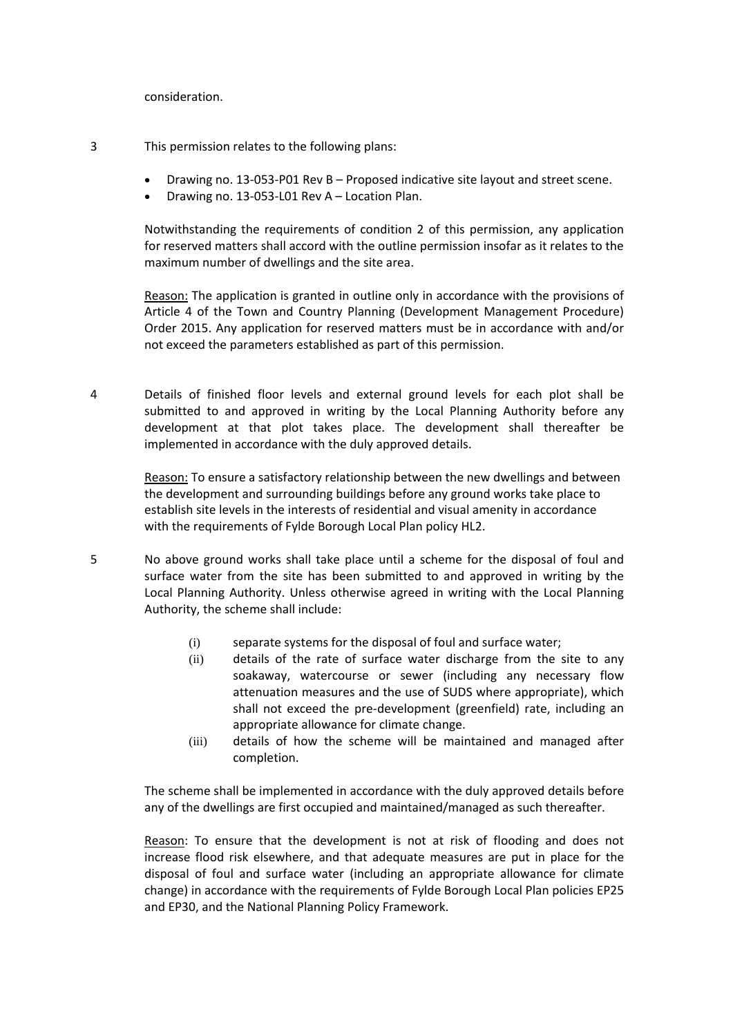consideration.

- 3 This permission relates to the following plans:
	- Drawing no. 13-053-P01 Rev B Proposed indicative site layout and street scene.
	- Drawing no. 13-053-L01 Rev A Location Plan.

Notwithstanding the requirements of condition 2 of this permission, any application for reserved matters shall accord with the outline permission insofar as it relates to the maximum number of dwellings and the site area.

Reason: The application is granted in outline only in accordance with the provisions of Article 4 of the Town and Country Planning (Development Management Procedure) Order 2015. Any application for reserved matters must be in accordance with and/or not exceed the parameters established as part of this permission.

4 Details of finished floor levels and external ground levels for each plot shall be submitted to and approved in writing by the Local Planning Authority before any development at that plot takes place. The development shall thereafter be implemented in accordance with the duly approved details.

> Reason: To ensure a satisfactory relationship between the new dwellings and between the development and surrounding buildings before any ground works take place to establish site levels in the interests of residential and visual amenity in accordance with the requirements of Fylde Borough Local Plan policy HL2.

- 5 No above ground works shall take place until a scheme for the disposal of foul and surface water from the site has been submitted to and approved in writing by the Local Planning Authority. Unless otherwise agreed in writing with the Local Planning Authority, the scheme shall include:
	- (i) separate systems for the disposal of foul and surface water;
	- (ii) details of the rate of surface water discharge from the site to any soakaway, watercourse or sewer (including any necessary flow attenuation measures and the use of SUDS where appropriate), which shall not exceed the pre-development (greenfield) rate, including an appropriate allowance for climate change.
	- (iii) details of how the scheme will be maintained and managed after completion.

The scheme shall be implemented in accordance with the duly approved details before any of the dwellings are first occupied and maintained/managed as such thereafter.

Reason: To ensure that the development is not at risk of flooding and does not increase flood risk elsewhere, and that adequate measures are put in place for the disposal of foul and surface water (including an appropriate allowance for climate change) in accordance with the requirements of Fylde Borough Local Plan policies EP25 and EP30, and the National Planning Policy Framework.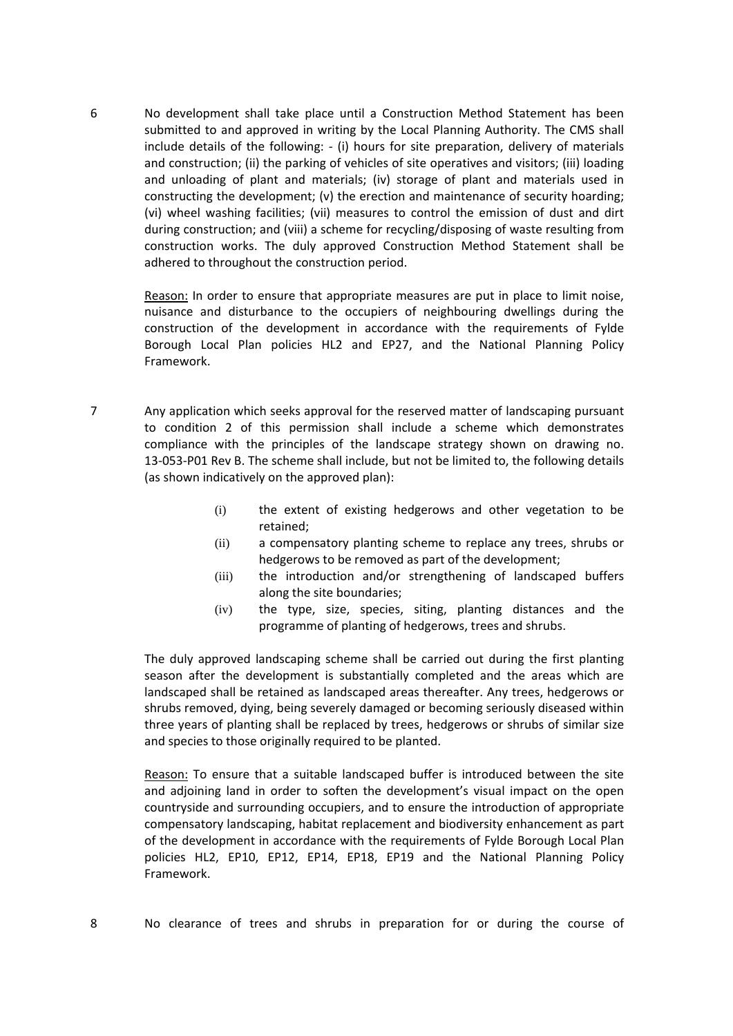6 No development shall take place until a Construction Method Statement has been submitted to and approved in writing by the Local Planning Authority. The CMS shall include details of the following: - (i) hours for site preparation, delivery of materials and construction; (ii) the parking of vehicles of site operatives and visitors; (iii) loading and unloading of plant and materials; (iv) storage of plant and materials used in constructing the development; (v) the erection and maintenance of security hoarding; (vi) wheel washing facilities; (vii) measures to control the emission of dust and dirt during construction; and (viii) a scheme for recycling/disposing of waste resulting from construction works. The duly approved Construction Method Statement shall be adhered to throughout the construction period.

Reason: In order to ensure that appropriate measures are put in place to limit noise, nuisance and disturbance to the occupiers of neighbouring dwellings during the construction of the development in accordance with the requirements of Fylde Borough Local Plan policies HL2 and EP27, and the National Planning Policy Framework.

- 7 Any application which seeks approval for the reserved matter of landscaping pursuant to condition 2 of this permission shall include a scheme which demonstrates compliance with the principles of the landscape strategy shown on drawing no. 13-053-P01 Rev B. The scheme shall include, but not be limited to, the following details (as shown indicatively on the approved plan):
	- (i) the extent of existing hedgerows and other vegetation to be retained;
	- (ii) a compensatory planting scheme to replace any trees, shrubs or hedgerows to be removed as part of the development;
	- (iii) the introduction and/or strengthening of landscaped buffers along the site boundaries;
	- (iv) the type, size, species, siting, planting distances and the programme of planting of hedgerows, trees and shrubs.

The duly approved landscaping scheme shall be carried out during the first planting season after the development is substantially completed and the areas which are landscaped shall be retained as landscaped areas thereafter. Any trees, hedgerows or shrubs removed, dying, being severely damaged or becoming seriously diseased within three years of planting shall be replaced by trees, hedgerows or shrubs of similar size and species to those originally required to be planted.

Reason: To ensure that a suitable landscaped buffer is introduced between the site and adjoining land in order to soften the development's visual impact on the open countryside and surrounding occupiers, and to ensure the introduction of appropriate compensatory landscaping, habitat replacement and biodiversity enhancement as part of the development in accordance with the requirements of Fylde Borough Local Plan policies HL2, EP10, EP12, EP14, EP18, EP19 and the National Planning Policy Framework.

8 No clearance of trees and shrubs in preparation for or during the course of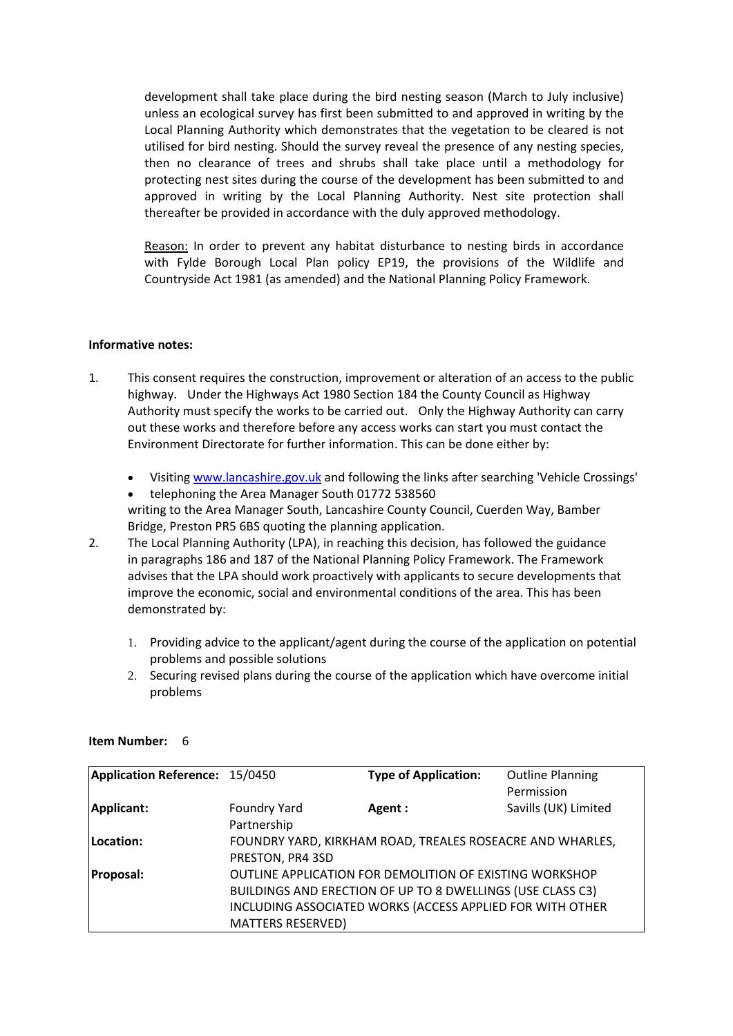development shall take place during the bird nesting season (March to July inclusive) unless an ecological survey has first been submitted to and approved in writing by the Local Planning Authority which demonstrates that the vegetation to be cleared is not utilised for bird nesting. Should the survey reveal the presence of any nesting species, then no clearance of trees and shrubs shall take place until a methodology for protecting nest sites during the course of the development has been submitted to and approved in writing by the Local Planning Authority. Nest site protection shall thereafter be provided in accordance with the duly approved methodology.

Reason: In order to prevent any habitat disturbance to nesting birds in accordance with Fylde Borough Local Plan policy EP19, the provisions of the Wildlife and Countryside Act 1981 (as amended) and the National Planning Policy Framework.

# **Informative notes:**

- 1. This consent requires the construction, improvement or alteration of an access to the public highway. Under the Highways Act 1980 Section 184 the County Council as Highway Authority must specify the works to be carried out. Only the Highway Authority can carry out these works and therefore before any access works can start you must contact the Environment Directorate for further information. This can be done either by:
	- Visiting www.lancashire.gov.uk and following the links after searching 'Vehicle Crossings'
	- telephoning the Area Manager South 01772 538560 writing to the Area Manager South, Lancashire County Council, Cuerden Way, Bamber
- Bridge, Preston PR5 6BS quoting the planning application. 2. The Local Planning Authority (LPA), in reaching this decision, has followed the guidance in paragraphs 186 and 187 of the National Planning Policy Framework. The Framework advises that the LPA should work proactively with applicants to secure developments that improve the economic, social and environmental conditions of the area. This has been demonstrated by:
	- 1. Providing advice to the applicant/agent during the course of the application on potential problems and possible solutions
	- 2. Securing revised plans during the course of the application which have overcome initial problems

| Application Reference: 15/0450 |                                                                                                                                                                                                                | <b>Type of Application:</b>                               | <b>Outline Planning</b><br>Permission |
|--------------------------------|----------------------------------------------------------------------------------------------------------------------------------------------------------------------------------------------------------------|-----------------------------------------------------------|---------------------------------------|
| Applicant:                     | Foundry Yard<br>Partnership                                                                                                                                                                                    | Agent :                                                   | Savills (UK) Limited                  |
| Location:                      | PRESTON, PR4 3SD                                                                                                                                                                                               | FOUNDRY YARD, KIRKHAM ROAD, TREALES ROSEACRE AND WHARLES, |                                       |
| Proposal:                      | OUTLINE APPLICATION FOR DEMOLITION OF EXISTING WORKSHOP<br>BUILDINGS AND ERECTION OF UP TO 8 DWELLINGS (USE CLASS C3)<br>INCLUDING ASSOCIATED WORKS (ACCESS APPLIED FOR WITH OTHER<br><b>MATTERS RESERVED)</b> |                                                           |                                       |

#### **Item Number:** 6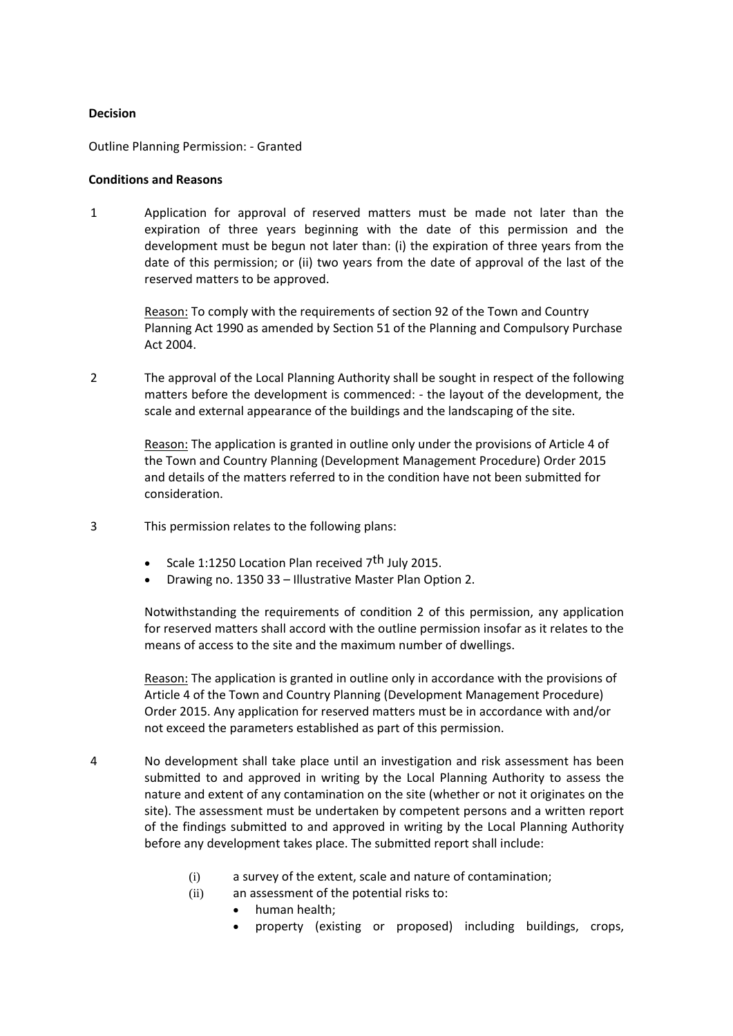#### **Decision**

Outline Planning Permission: - Granted

#### **Conditions and Reasons**

1 Application for approval of reserved matters must be made not later than the expiration of three years beginning with the date of this permission and the development must be begun not later than: (i) the expiration of three years from the date of this permission; or (ii) two years from the date of approval of the last of the reserved matters to be approved.

Reason: To comply with the requirements of section 92 of the Town and Country Planning Act 1990 as amended by Section 51 of the Planning and Compulsory Purchase Act 2004.

2 The approval of the Local Planning Authority shall be sought in respect of the following matters before the development is commenced: - the layout of the development, the scale and external appearance of the buildings and the landscaping of the site.

> Reason: The application is granted in outline only under the provisions of Article 4 of the Town and Country Planning (Development Management Procedure) Order 2015 and details of the matters referred to in the condition have not been submitted for consideration.

- 3 This permission relates to the following plans:
	- Scale 1:1250 Location Plan received  $7<sup>th</sup>$  July 2015.
	- Drawing no. 1350 33 Illustrative Master Plan Option 2.

Notwithstanding the requirements of condition 2 of this permission, any application for reserved matters shall accord with the outline permission insofar as it relates to the means of access to the site and the maximum number of dwellings.

Reason: The application is granted in outline only in accordance with the provisions of Article 4 of the Town and Country Planning (Development Management Procedure) Order 2015. Any application for reserved matters must be in accordance with and/or not exceed the parameters established as part of this permission.

- 4 No development shall take place until an investigation and risk assessment has been submitted to and approved in writing by the Local Planning Authority to assess the nature and extent of any contamination on the site (whether or not it originates on the site). The assessment must be undertaken by competent persons and a written report of the findings submitted to and approved in writing by the Local Planning Authority before any development takes place. The submitted report shall include:
	- (i) a survey of the extent, scale and nature of contamination;
	- (ii) an assessment of the potential risks to:
		- human health;
		- property (existing or proposed) including buildings, crops,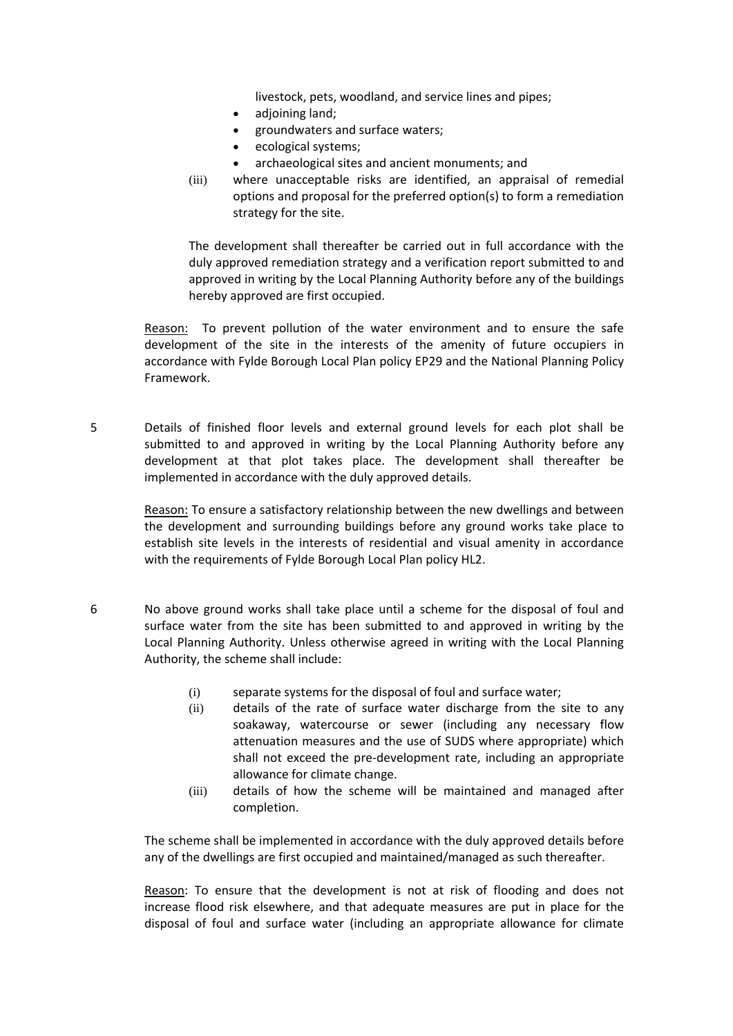livestock, pets, woodland, and service lines and pipes;

- adjoining land;
- groundwaters and surface waters;
- ecological systems;
- archaeological sites and ancient monuments; and
- (iii) where unacceptable risks are identified, an appraisal of remedial options and proposal for the preferred option(s) to form a remediation strategy for the site.

The development shall thereafter be carried out in full accordance with the duly approved remediation strategy and a verification report submitted to and approved in writing by the Local Planning Authority before any of the buildings hereby approved are first occupied.

Reason: To prevent pollution of the water environment and to ensure the safe development of the site in the interests of the amenity of future occupiers in accordance with Fylde Borough Local Plan policy EP29 and the National Planning Policy Framework.

5 Details of finished floor levels and external ground levels for each plot shall be submitted to and approved in writing by the Local Planning Authority before any development at that plot takes place. The development shall thereafter be implemented in accordance with the duly approved details.

> Reason: To ensure a satisfactory relationship between the new dwellings and between the development and surrounding buildings before any ground works take place to establish site levels in the interests of residential and visual amenity in accordance with the requirements of Fylde Borough Local Plan policy HL2.

- 6 No above ground works shall take place until a scheme for the disposal of foul and surface water from the site has been submitted to and approved in writing by the Local Planning Authority. Unless otherwise agreed in writing with the Local Planning Authority, the scheme shall include:
	- (i) separate systems for the disposal of foul and surface water;
	- (ii) details of the rate of surface water discharge from the site to any soakaway, watercourse or sewer (including any necessary flow attenuation measures and the use of SUDS where appropriate) which shall not exceed the pre-development rate, including an appropriate allowance for climate change.
	- (iii) details of how the scheme will be maintained and managed after completion.

The scheme shall be implemented in accordance with the duly approved details before any of the dwellings are first occupied and maintained/managed as such thereafter.

Reason: To ensure that the development is not at risk of flooding and does not increase flood risk elsewhere, and that adequate measures are put in place for the disposal of foul and surface water (including an appropriate allowance for climate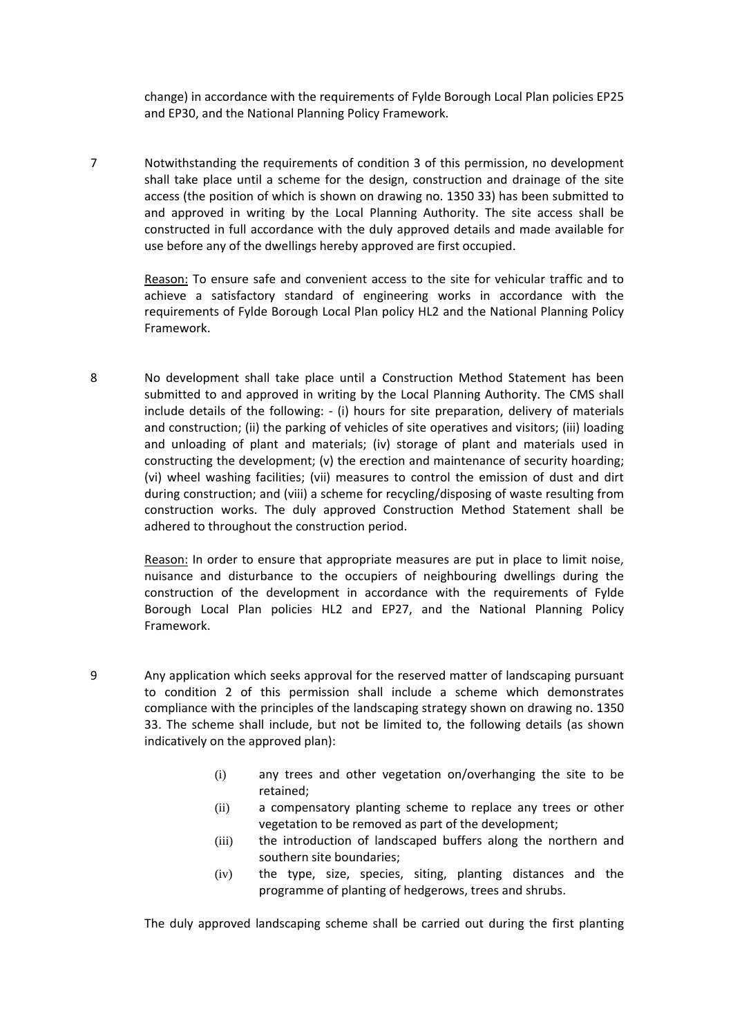change) in accordance with the requirements of Fylde Borough Local Plan policies EP25 and EP30, and the National Planning Policy Framework.

7 Notwithstanding the requirements of condition 3 of this permission, no development shall take place until a scheme for the design, construction and drainage of the site access (the position of which is shown on drawing no. 1350 33) has been submitted to and approved in writing by the Local Planning Authority. The site access shall be constructed in full accordance with the duly approved details and made available for use before any of the dwellings hereby approved are first occupied.

> Reason: To ensure safe and convenient access to the site for vehicular traffic and to achieve a satisfactory standard of engineering works in accordance with the requirements of Fylde Borough Local Plan policy HL2 and the National Planning Policy Framework.

8 No development shall take place until a Construction Method Statement has been submitted to and approved in writing by the Local Planning Authority. The CMS shall include details of the following: - (i) hours for site preparation, delivery of materials and construction; (ii) the parking of vehicles of site operatives and visitors; (iii) loading and unloading of plant and materials; (iv) storage of plant and materials used in constructing the development; (v) the erection and maintenance of security hoarding; (vi) wheel washing facilities; (vii) measures to control the emission of dust and dirt during construction; and (viii) a scheme for recycling/disposing of waste resulting from construction works. The duly approved Construction Method Statement shall be adhered to throughout the construction period.

> Reason: In order to ensure that appropriate measures are put in place to limit noise, nuisance and disturbance to the occupiers of neighbouring dwellings during the construction of the development in accordance with the requirements of Fylde Borough Local Plan policies HL2 and EP27, and the National Planning Policy Framework.

- 9 Any application which seeks approval for the reserved matter of landscaping pursuant to condition 2 of this permission shall include a scheme which demonstrates compliance with the principles of the landscaping strategy shown on drawing no. 1350 33. The scheme shall include, but not be limited to, the following details (as shown indicatively on the approved plan):
	- (i) any trees and other vegetation on/overhanging the site to be retained;
	- (ii) a compensatory planting scheme to replace any trees or other vegetation to be removed as part of the development;
	- (iii) the introduction of landscaped buffers along the northern and southern site boundaries;
	- (iv) the type, size, species, siting, planting distances and the programme of planting of hedgerows, trees and shrubs.

The duly approved landscaping scheme shall be carried out during the first planting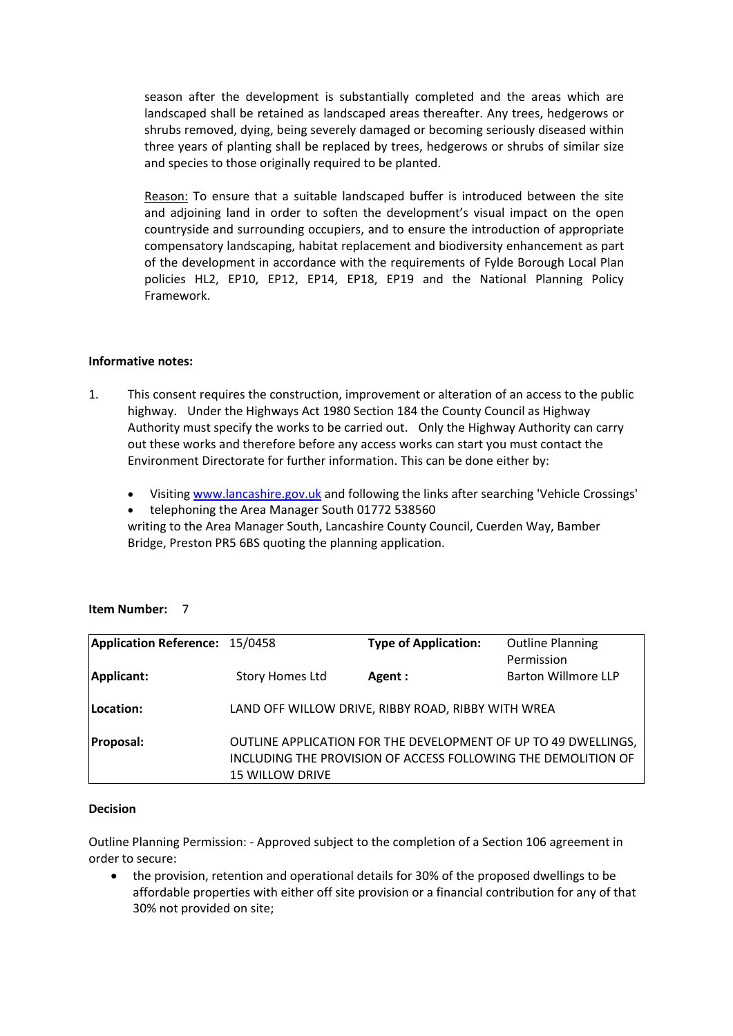season after the development is substantially completed and the areas which are landscaped shall be retained as landscaped areas thereafter. Any trees, hedgerows or shrubs removed, dying, being severely damaged or becoming seriously diseased within three years of planting shall be replaced by trees, hedgerows or shrubs of similar size and species to those originally required to be planted.

Reason: To ensure that a suitable landscaped buffer is introduced between the site and adjoining land in order to soften the development's visual impact on the open countryside and surrounding occupiers, and to ensure the introduction of appropriate compensatory landscaping, habitat replacement and biodiversity enhancement as part of the development in accordance with the requirements of Fylde Borough Local Plan policies HL2, EP10, EP12, EP14, EP18, EP19 and the National Planning Policy Framework.

# **Informative notes:**

- 1. This consent requires the construction, improvement or alteration of an access to the public highway. Under the Highways Act 1980 Section 184 the County Council as Highway Authority must specify the works to be carried out. Only the Highway Authority can carry out these works and therefore before any access works can start you must contact the Environment Directorate for further information. This can be done either by:
	- Visiting www.lancashire.gov.uk and following the links after searching 'Vehicle Crossings'
	- telephoning the Area Manager South 01772 538560

writing to the Area Manager South, Lancashire County Council, Cuerden Way, Bamber Bridge, Preston PR5 6BS quoting the planning application.

# **Item Number:** 7

| Application Reference: 15/0458 |                                                    | <b>Type of Application:</b>                                    | <b>Outline Planning</b>    |
|--------------------------------|----------------------------------------------------|----------------------------------------------------------------|----------------------------|
|                                |                                                    |                                                                | Permission                 |
| Applicant:                     | <b>Story Homes Ltd</b>                             | Agent :                                                        | <b>Barton Willmore LLP</b> |
|                                |                                                    |                                                                |                            |
| Location:                      | LAND OFF WILLOW DRIVE, RIBBY ROAD, RIBBY WITH WREA |                                                                |                            |
|                                |                                                    |                                                                |                            |
| <b>Proposal:</b>               |                                                    | OUTLINE APPLICATION FOR THE DEVELOPMENT OF UP TO 49 DWELLINGS, |                            |
|                                |                                                    | INCLUDING THE PROVISION OF ACCESS FOLLOWING THE DEMOLITION OF  |                            |
|                                | <b>15 WILLOW DRIVE</b>                             |                                                                |                            |

# **Decision**

Outline Planning Permission: - Approved subject to the completion of a Section 106 agreement in order to secure:

• the provision, retention and operational details for 30% of the proposed dwellings to be affordable properties with either off site provision or a financial contribution for any of that 30% not provided on site;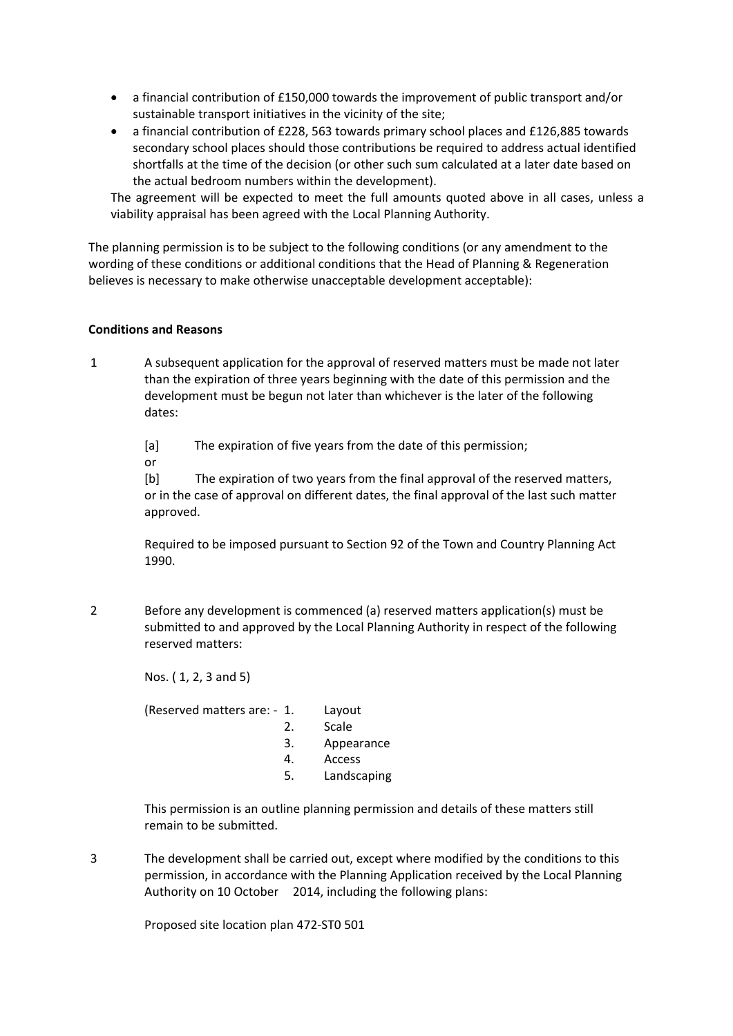- a financial contribution of £150,000 towards the improvement of public transport and/or sustainable transport initiatives in the vicinity of the site;
- a financial contribution of £228, 563 towards primary school places and £126,885 towards secondary school places should those contributions be required to address actual identified shortfalls at the time of the decision (or other such sum calculated at a later date based on the actual bedroom numbers within the development).

The agreement will be expected to meet the full amounts quoted above in all cases, unless a viability appraisal has been agreed with the Local Planning Authority.

The planning permission is to be subject to the following conditions (or any amendment to the wording of these conditions or additional conditions that the Head of Planning & Regeneration believes is necessary to make otherwise unacceptable development acceptable):

#### **Conditions and Reasons**

1 A subsequent application for the approval of reserved matters must be made not later than the expiration of three years beginning with the date of this permission and the development must be begun not later than whichever is the later of the following dates:

[a] The expiration of five years from the date of this permission;

or

[b] The expiration of two years from the final approval of the reserved matters, or in the case of approval on different dates, the final approval of the last such matter approved.

Required to be imposed pursuant to Section 92 of the Town and Country Planning Act 1990.

2 Before any development is commenced (a) reserved matters application(s) must be submitted to and approved by the Local Planning Authority in respect of the following reserved matters:

Nos. ( 1, 2, 3 and 5)

(Reserved matters are: - 1. Layout

- 2. Scale
- 3. Appearance
- 4. Access
- 5. Landscaping

This permission is an outline planning permission and details of these matters still remain to be submitted.

3 The development shall be carried out, except where modified by the conditions to this permission, in accordance with the Planning Application received by the Local Planning Authority on 10 October 2014, including the following plans:

Proposed site location plan 472-ST0 501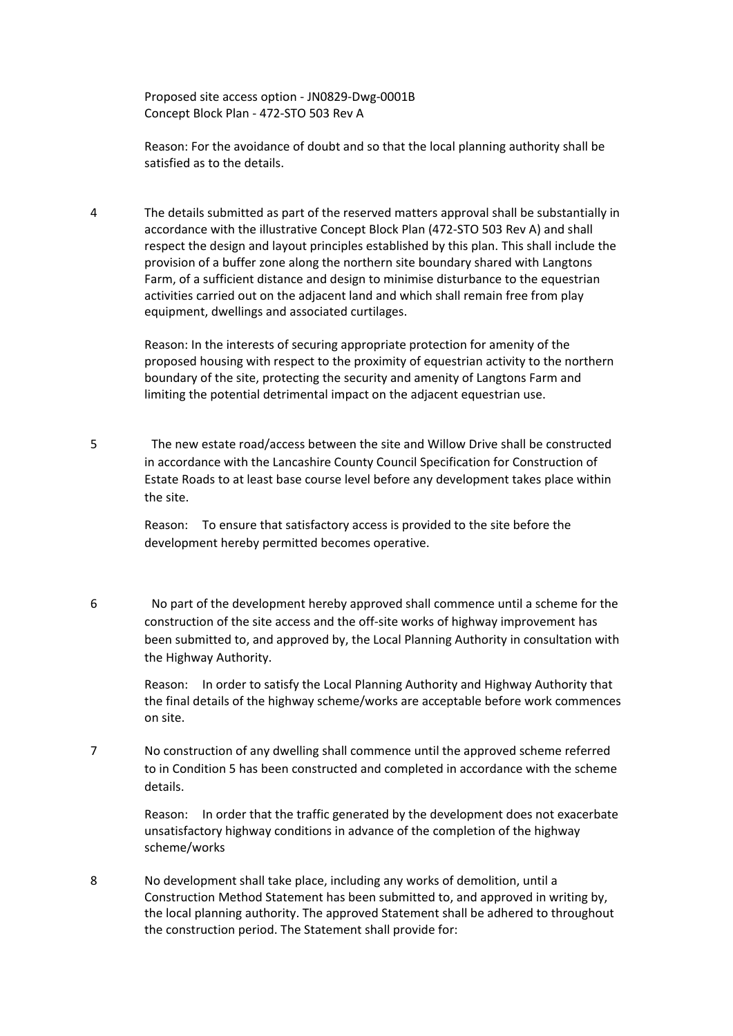Proposed site access option - JN0829-Dwg-0001B Concept Block Plan - 472-STO 503 Rev A

Reason: For the avoidance of doubt and so that the local planning authority shall be satisfied as to the details.

4 The details submitted as part of the reserved matters approval shall be substantially in accordance with the illustrative Concept Block Plan (472-STO 503 Rev A) and shall respect the design and layout principles established by this plan. This shall include the provision of a buffer zone along the northern site boundary shared with Langtons Farm, of a sufficient distance and design to minimise disturbance to the equestrian activities carried out on the adjacent land and which shall remain free from play equipment, dwellings and associated curtilages.

> Reason: In the interests of securing appropriate protection for amenity of the proposed housing with respect to the proximity of equestrian activity to the northern boundary of the site, protecting the security and amenity of Langtons Farm and limiting the potential detrimental impact on the adjacent equestrian use.

5 The new estate road/access between the site and Willow Drive shall be constructed in accordance with the Lancashire County Council Specification for Construction of Estate Roads to at least base course level before any development takes place within the site.

> Reason: To ensure that satisfactory access is provided to the site before the development hereby permitted becomes operative.

6 No part of the development hereby approved shall commence until a scheme for the construction of the site access and the off-site works of highway improvement has been submitted to, and approved by, the Local Planning Authority in consultation with the Highway Authority.

> Reason: In order to satisfy the Local Planning Authority and Highway Authority that the final details of the highway scheme/works are acceptable before work commences on site.

7 No construction of any dwelling shall commence until the approved scheme referred to in Condition 5 has been constructed and completed in accordance with the scheme details.

> Reason: In order that the traffic generated by the development does not exacerbate unsatisfactory highway conditions in advance of the completion of the highway scheme/works

8 No development shall take place, including any works of demolition, until a Construction Method Statement has been submitted to, and approved in writing by, the local planning authority. The approved Statement shall be adhered to throughout the construction period. The Statement shall provide for: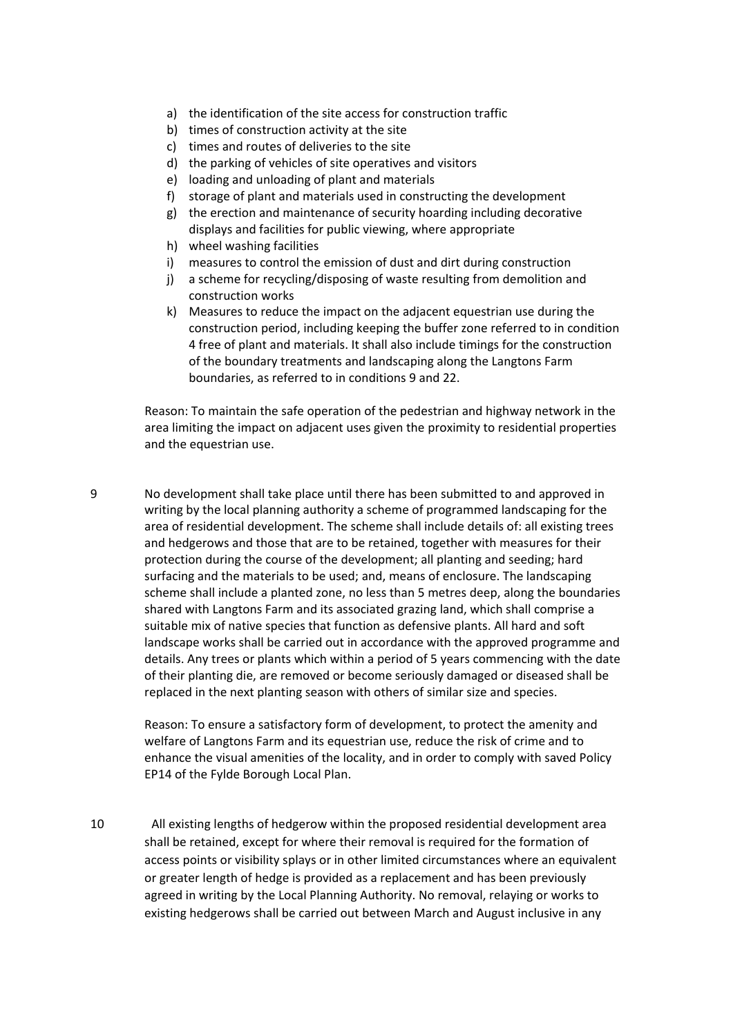- a) the identification of the site access for construction traffic
- b) times of construction activity at the site
- c) times and routes of deliveries to the site
- d) the parking of vehicles of site operatives and visitors
- e) loading and unloading of plant and materials
- f) storage of plant and materials used in constructing the development
- g) the erection and maintenance of security hoarding including decorative displays and facilities for public viewing, where appropriate
- h) wheel washing facilities
- i) measures to control the emission of dust and dirt during construction
- j) a scheme for recycling/disposing of waste resulting from demolition and construction works
- k) Measures to reduce the impact on the adjacent equestrian use during the construction period, including keeping the buffer zone referred to in condition 4 free of plant and materials. It shall also include timings for the construction of the boundary treatments and landscaping along the Langtons Farm boundaries, as referred to in conditions 9 and 22.

Reason: To maintain the safe operation of the pedestrian and highway network in the area limiting the impact on adjacent uses given the proximity to residential properties and the equestrian use.

9 No development shall take place until there has been submitted to and approved in writing by the local planning authority a scheme of programmed landscaping for the area of residential development. The scheme shall include details of: all existing trees and hedgerows and those that are to be retained, together with measures for their protection during the course of the development; all planting and seeding; hard surfacing and the materials to be used; and, means of enclosure. The landscaping scheme shall include a planted zone, no less than 5 metres deep, along the boundaries shared with Langtons Farm and its associated grazing land, which shall comprise a suitable mix of native species that function as defensive plants. All hard and soft landscape works shall be carried out in accordance with the approved programme and details. Any trees or plants which within a period of 5 years commencing with the date of their planting die, are removed or become seriously damaged or diseased shall be replaced in the next planting season with others of similar size and species.

> Reason: To ensure a satisfactory form of development, to protect the amenity and welfare of Langtons Farm and its equestrian use, reduce the risk of crime and to enhance the visual amenities of the locality, and in order to comply with saved Policy EP14 of the Fylde Borough Local Plan.

10 All existing lengths of hedgerow within the proposed residential development area shall be retained, except for where their removal is required for the formation of access points or visibility splays or in other limited circumstances where an equivalent or greater length of hedge is provided as a replacement and has been previously agreed in writing by the Local Planning Authority. No removal, relaying or works to existing hedgerows shall be carried out between March and August inclusive in any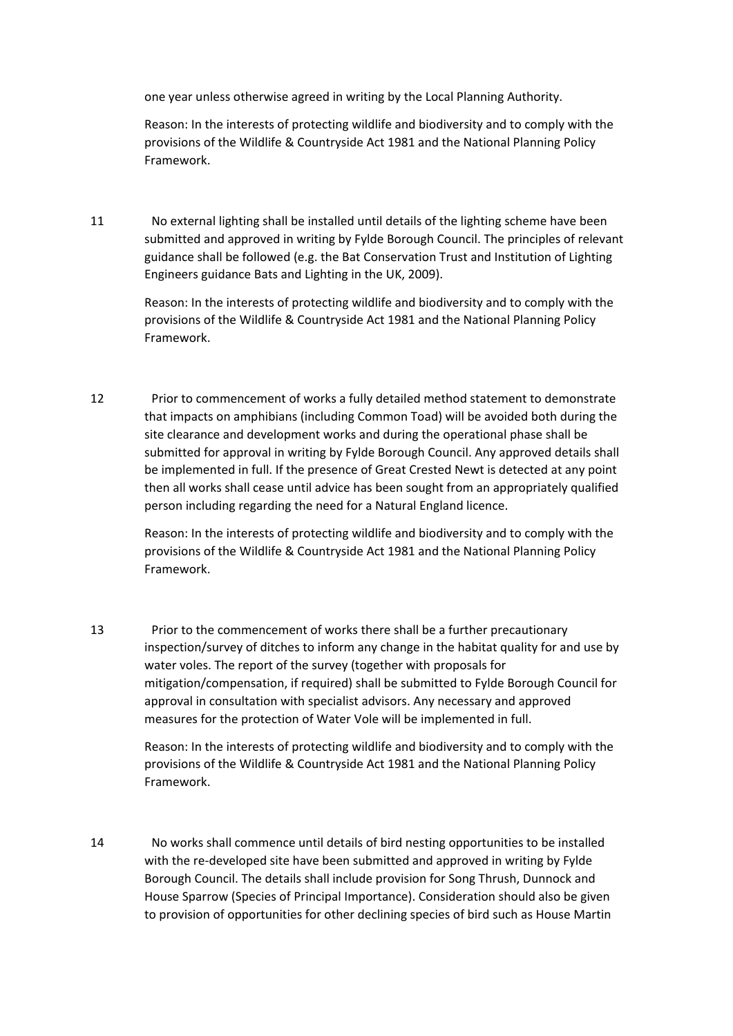one year unless otherwise agreed in writing by the Local Planning Authority.

Reason: In the interests of protecting wildlife and biodiversity and to comply with the provisions of the Wildlife & Countryside Act 1981 and the National Planning Policy Framework.

11 No external lighting shall be installed until details of the lighting scheme have been submitted and approved in writing by Fylde Borough Council. The principles of relevant guidance shall be followed (e.g. the Bat Conservation Trust and Institution of Lighting Engineers guidance Bats and Lighting in the UK, 2009).

> Reason: In the interests of protecting wildlife and biodiversity and to comply with the provisions of the Wildlife & Countryside Act 1981 and the National Planning Policy Framework.

12 Prior to commencement of works a fully detailed method statement to demonstrate that impacts on amphibians (including Common Toad) will be avoided both during the site clearance and development works and during the operational phase shall be submitted for approval in writing by Fylde Borough Council. Any approved details shall be implemented in full. If the presence of Great Crested Newt is detected at any point then all works shall cease until advice has been sought from an appropriately qualified person including regarding the need for a Natural England licence.

> Reason: In the interests of protecting wildlife and biodiversity and to comply with the provisions of the Wildlife & Countryside Act 1981 and the National Planning Policy Framework.

13 Prior to the commencement of works there shall be a further precautionary inspection/survey of ditches to inform any change in the habitat quality for and use by water voles. The report of the survey (together with proposals for mitigation/compensation, if required) shall be submitted to Fylde Borough Council for approval in consultation with specialist advisors. Any necessary and approved measures for the protection of Water Vole will be implemented in full.

> Reason: In the interests of protecting wildlife and biodiversity and to comply with the provisions of the Wildlife & Countryside Act 1981 and the National Planning Policy Framework.

14 No works shall commence until details of bird nesting opportunities to be installed with the re-developed site have been submitted and approved in writing by Fylde Borough Council. The details shall include provision for Song Thrush, Dunnock and House Sparrow (Species of Principal Importance). Consideration should also be given to provision of opportunities for other declining species of bird such as House Martin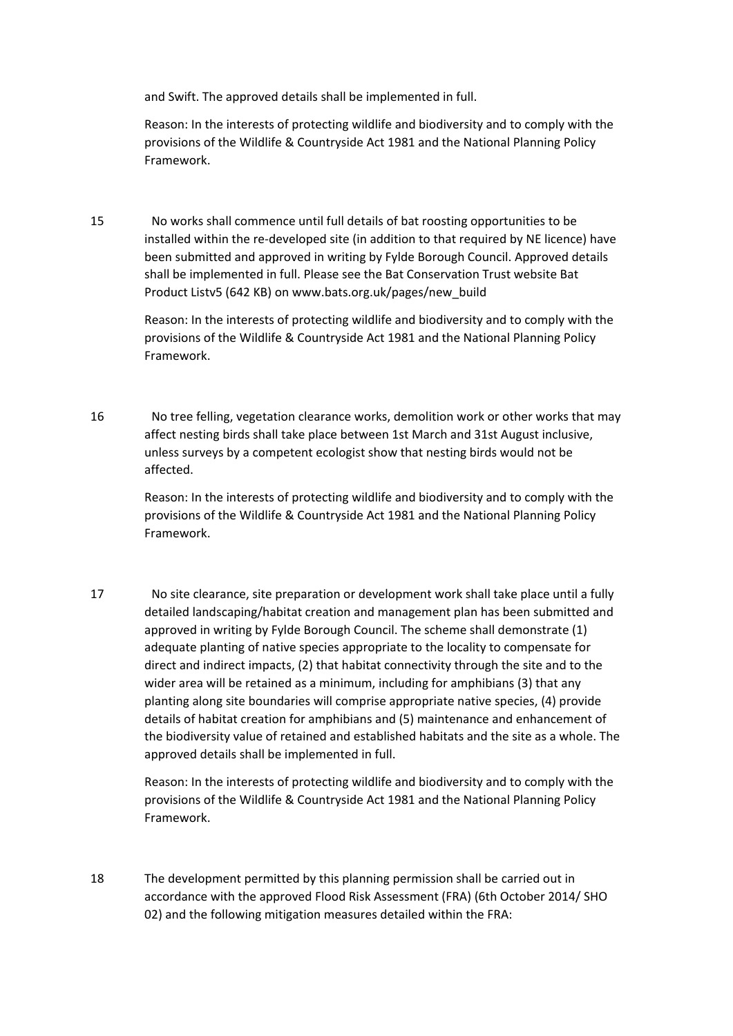and Swift. The approved details shall be implemented in full.

Reason: In the interests of protecting wildlife and biodiversity and to comply with the provisions of the Wildlife & Countryside Act 1981 and the National Planning Policy Framework.

15 No works shall commence until full details of bat roosting opportunities to be installed within the re-developed site (in addition to that required by NE licence) have been submitted and approved in writing by Fylde Borough Council. Approved details shall be implemented in full. Please see the Bat Conservation Trust website Bat Product Listv5 (642 KB) on www.bats.org.uk/pages/new\_build

> Reason: In the interests of protecting wildlife and biodiversity and to comply with the provisions of the Wildlife & Countryside Act 1981 and the National Planning Policy Framework.

16 No tree felling, vegetation clearance works, demolition work or other works that may affect nesting birds shall take place between 1st March and 31st August inclusive, unless surveys by a competent ecologist show that nesting birds would not be affected.

> Reason: In the interests of protecting wildlife and biodiversity and to comply with the provisions of the Wildlife & Countryside Act 1981 and the National Planning Policy Framework.

17 No site clearance, site preparation or development work shall take place until a fully detailed landscaping/habitat creation and management plan has been submitted and approved in writing by Fylde Borough Council. The scheme shall demonstrate (1) adequate planting of native species appropriate to the locality to compensate for direct and indirect impacts, (2) that habitat connectivity through the site and to the wider area will be retained as a minimum, including for amphibians (3) that any planting along site boundaries will comprise appropriate native species, (4) provide details of habitat creation for amphibians and (5) maintenance and enhancement of the biodiversity value of retained and established habitats and the site as a whole. The approved details shall be implemented in full.

> Reason: In the interests of protecting wildlife and biodiversity and to comply with the provisions of the Wildlife & Countryside Act 1981 and the National Planning Policy Framework.

18 The development permitted by this planning permission shall be carried out in accordance with the approved Flood Risk Assessment (FRA) (6th October 2014/ SHO 02) and the following mitigation measures detailed within the FRA: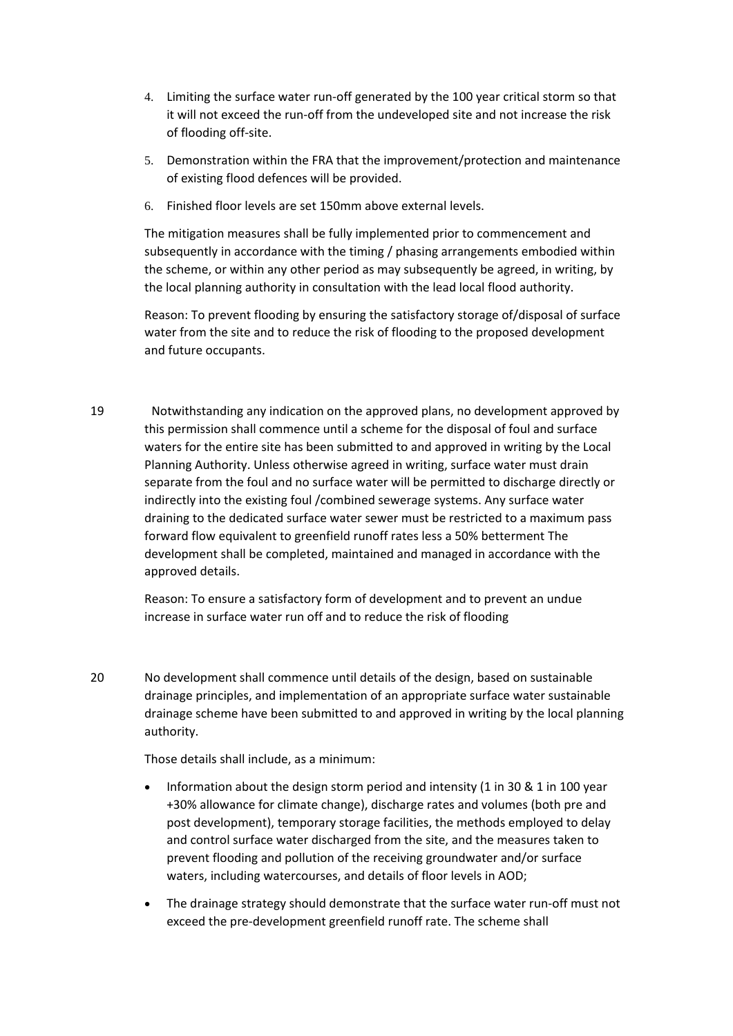- 4. Limiting the surface water run-off generated by the 100 year critical storm so that it will not exceed the run-off from the undeveloped site and not increase the risk of flooding off-site.
- 5. Demonstration within the FRA that the improvement/protection and maintenance of existing flood defences will be provided.
- 6. Finished floor levels are set 150mm above external levels.

The mitigation measures shall be fully implemented prior to commencement and subsequently in accordance with the timing / phasing arrangements embodied within the scheme, or within any other period as may subsequently be agreed, in writing, by the local planning authority in consultation with the lead local flood authority.

Reason: To prevent flooding by ensuring the satisfactory storage of/disposal of surface water from the site and to reduce the risk of flooding to the proposed development and future occupants.

19 Notwithstanding any indication on the approved plans, no development approved by this permission shall commence until a scheme for the disposal of foul and surface waters for the entire site has been submitted to and approved in writing by the Local Planning Authority. Unless otherwise agreed in writing, surface water must drain separate from the foul and no surface water will be permitted to discharge directly or indirectly into the existing foul /combined sewerage systems. Any surface water draining to the dedicated surface water sewer must be restricted to a maximum pass forward flow equivalent to greenfield runoff rates less a 50% betterment The development shall be completed, maintained and managed in accordance with the approved details.

> Reason: To ensure a satisfactory form of development and to prevent an undue increase in surface water run off and to reduce the risk of flooding

20 No development shall commence until details of the design, based on sustainable drainage principles, and implementation of an appropriate surface water sustainable drainage scheme have been submitted to and approved in writing by the local planning authority.

Those details shall include, as a minimum:

- Information about the design storm period and intensity (1 in 30 & 1 in 100 year +30% allowance for climate change), discharge rates and volumes (both pre and post development), temporary storage facilities, the methods employed to delay and control surface water discharged from the site, and the measures taken to prevent flooding and pollution of the receiving groundwater and/or surface waters, including watercourses, and details of floor levels in AOD;
- The drainage strategy should demonstrate that the surface water run-off must not exceed the pre-development greenfield runoff rate. The scheme shall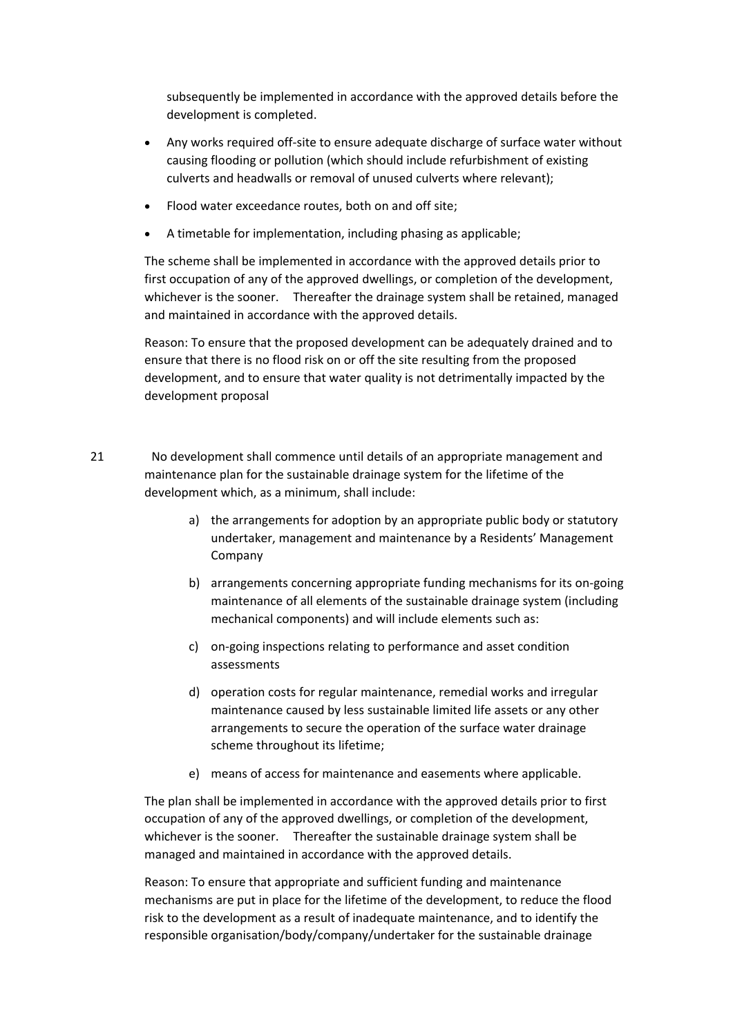subsequently be implemented in accordance with the approved details before the development is completed.

- Any works required off-site to ensure adequate discharge of surface water without causing flooding or pollution (which should include refurbishment of existing culverts and headwalls or removal of unused culverts where relevant);
- Flood water exceedance routes, both on and off site;
- A timetable for implementation, including phasing as applicable;

The scheme shall be implemented in accordance with the approved details prior to first occupation of any of the approved dwellings, or completion of the development, whichever is the sooner. Thereafter the drainage system shall be retained, managed and maintained in accordance with the approved details.

Reason: To ensure that the proposed development can be adequately drained and to ensure that there is no flood risk on or off the site resulting from the proposed development, and to ensure that water quality is not detrimentally impacted by the development proposal

21 No development shall commence until details of an appropriate management and maintenance plan for the sustainable drainage system for the lifetime of the development which, as a minimum, shall include:

- a) the arrangements for adoption by an appropriate public body or statutory undertaker, management and maintenance by a Residents' Management Company
- b) arrangements concerning appropriate funding mechanisms for its on-going maintenance of all elements of the sustainable drainage system (including mechanical components) and will include elements such as:
- c) on-going inspections relating to performance and asset condition assessments
- d) operation costs for regular maintenance, remedial works and irregular maintenance caused by less sustainable limited life assets or any other arrangements to secure the operation of the surface water drainage scheme throughout its lifetime;
- e) means of access for maintenance and easements where applicable.

The plan shall be implemented in accordance with the approved details prior to first occupation of any of the approved dwellings, or completion of the development, whichever is the sooner. Thereafter the sustainable drainage system shall be managed and maintained in accordance with the approved details.

Reason: To ensure that appropriate and sufficient funding and maintenance mechanisms are put in place for the lifetime of the development, to reduce the flood risk to the development as a result of inadequate maintenance, and to identify the responsible organisation/body/company/undertaker for the sustainable drainage